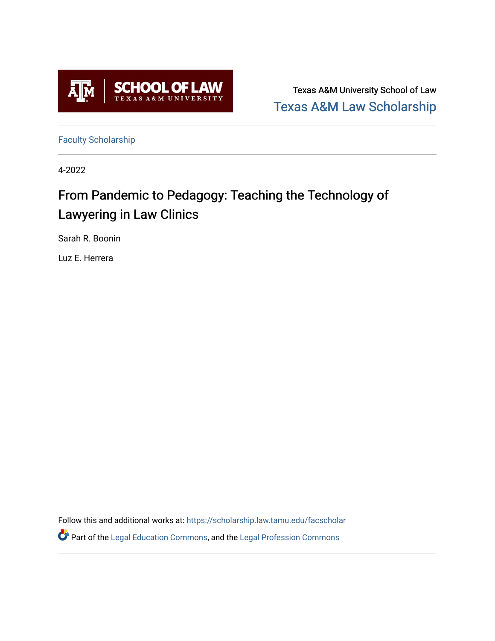

Texas A&M University School of Law [Texas A&M Law Scholarship](https://scholarship.law.tamu.edu/) 

[Faculty Scholarship](https://scholarship.law.tamu.edu/facscholar)

4-2022

# From Pandemic to Pedagogy: Teaching the Technology of Lawyering in Law Clinics

Sarah R. Boonin

Luz E. Herrera

Follow this and additional works at: [https://scholarship.law.tamu.edu/facscholar](https://scholarship.law.tamu.edu/facscholar?utm_source=scholarship.law.tamu.edu%2Ffacscholar%2F1552&utm_medium=PDF&utm_campaign=PDFCoverPages)  Part of the [Legal Education Commons,](https://network.bepress.com/hgg/discipline/857?utm_source=scholarship.law.tamu.edu%2Ffacscholar%2F1552&utm_medium=PDF&utm_campaign=PDFCoverPages) and the [Legal Profession Commons](https://network.bepress.com/hgg/discipline/1075?utm_source=scholarship.law.tamu.edu%2Ffacscholar%2F1552&utm_medium=PDF&utm_campaign=PDFCoverPages)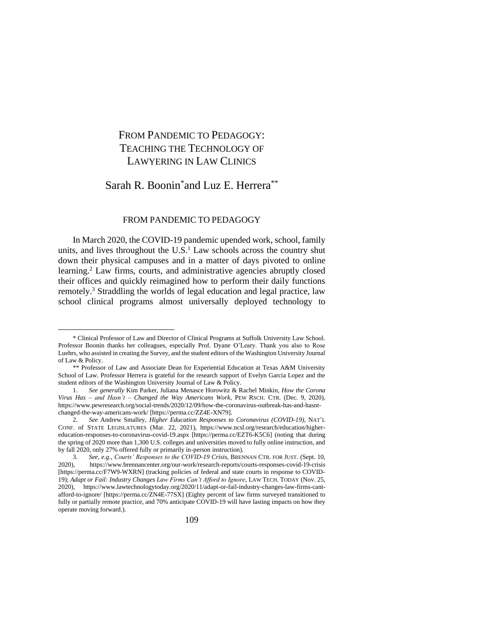# FROM PANDEMIC TO PEDAGOGY: TEACHING THE TECHNOLOGY OF LAWYERING IN LAW CLINICS

# Sarah R. Boonin<sup>\*</sup>and Luz E. Herrera<sup>\*\*</sup>

## FROM PANDEMIC TO PEDAGOGY

In March 2020, the COVID-19 pandemic upended work, school, family units, and lives throughout the U.S. <sup>1</sup> Law schools across the country shut down their physical campuses and in a matter of days pivoted to online learning.<sup>2</sup> Law firms, courts, and administrative agencies abruptly closed their offices and quickly reimagined how to perform their daily functions remotely.<sup>3</sup> Straddling the worlds of legal education and legal practice, law school clinical programs almost universally deployed technology to

<sup>\*</sup> Clinical Professor of Law and Director of Clinical Programs at Suffolk University Law School. Professor Boonin thanks her colleagues, especially Prof. Dyane O'Leary. Thank you also to Rose Luehrs, who assisted in creating the Survey, and the student editors of the Washington University Journal of Law & Policy.

<sup>\*\*</sup> Professor of Law and Associate Dean for Experiential Education at Texas A&M University School of Law. Professor Herrera is grateful for the research support of Evelyn Garcia Lopez and the student editors of the Washington University Journal of Law & Policy.

<sup>1.</sup> *See generally* Kim Parker, Juliana Menasce Horowitz & Rachel Minkin, *How the Corona Virus Has – and Hasn't – Changed the Way Americans Work*, PEW RSCH. CTR. (Dec. 9, 2020), https://www.pewresearch.org/social-trends/2020/12/09/how-the-coronavirus-outbreak-has-and-hasntchanged-the-way-americans-work/ [https://perma.cc/ZZ4E-XN79].

<sup>2.</sup> *See* Andrew Smalley, *Higher Education Responses to Coronavirus (COVID-19)*, NAT'L CONF. of STATE LEGISLATURES (Mar. 22, 2021), https://www.ncsl.org/research/education/highereducation-responses-to-coronavirus-covid-19.aspx [https://perma.cc/EZT6-K5C6] (noting that during the spring of 2020 more than 1,300 U.S. colleges and universities moved to fully online instruction, and by fall 2020, only 27% offered fully or primarily in-person instruction).

<sup>3.</sup> *See, e.g.*, *Courts' Responses to the COVID-19 Crisis*, BRENNAN CTR. FOR JUST. (Sept. 10, 2020), https://www.brennancenter.org/our-work/research-reports/courts-responses-covid-19-crisis [https://perma.cc/F7W9-WXRN] (tracking policies of federal and state courts in response to COVID-19); *Adapt or Fail: Industry Changes Law Firms Can't Afford to Ignore*, LAW TECH. TODAY (Nov. 25, 2020), https://www.lawtechnologytoday.org/2020/11/adapt-or-fail-industry-changes-law-firms-cantafford-to-ignore/ [https://perma.cc/ZN4E-77SX] (Eighty percent of law firms surveyed transitioned to fully or partially remote practice, and 70% anticipate COVID-19 will have lasting impacts on how they operate moving forward.).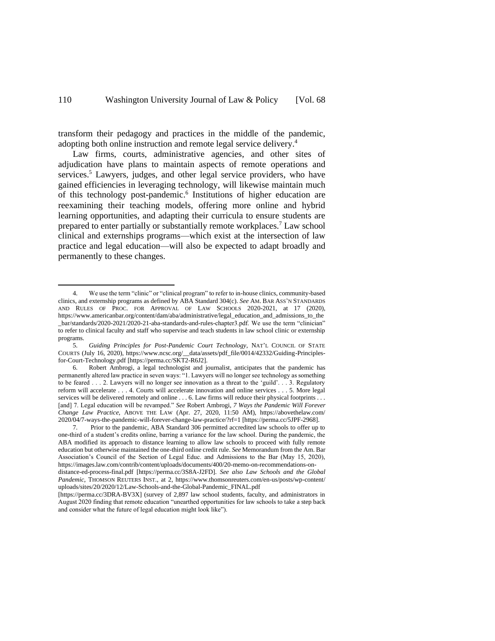<span id="page-2-0"></span>transform their pedagogy and practices in the middle of the pandemic, adopting both online instruction and remote legal service delivery.<sup>4</sup>

Law firms, courts, administrative agencies, and other sites of adjudication have plans to maintain aspects of remote operations and services.<sup>5</sup> Lawyers, judges, and other legal service providers, who have gained efficiencies in leveraging technology, will likewise maintain much of this technology post-pandemic. 6 Institutions of higher education are reexamining their teaching models, offering more online and hybrid learning opportunities, and adapting their curricula to ensure students are prepared to enter partially or substantially remote workplaces.<sup>7</sup> Law school clinical and externships programs—which exist at the intersection of law practice and legal education—will also be expected to adapt broadly and permanently to these changes.

<sup>4.</sup> We use the term "clinic" or "clinical program" to refer to in-house clinics, community-based clinics, and externship programs as defined by ABA Standard 304(c). *See* AM. BAR ASS'N STANDARDS AND RULES OF PROC. FOR APPROVAL OF LAW SCHOOLS 2020-2021, at 17 (2020), https://www.americanbar.org/content/dam/aba/administrative/legal\_education\_and\_admissions\_to\_the \_bar/standards/2020-2021/2020-21-aba-standards-and-rules-chapter3.pdf. We use the term "clinician" to refer to clinical faculty and staff who supervise and teach students in law school clinic or externship programs.

<sup>5.</sup> *Guiding Principles for Post-Pandemic Court Technology*, NAT'L COUNCIL OF STATE COURTS (July 16, 2020), https://www.ncsc.org/\_\_data/assets/pdf\_file/0014/42332/Guiding-Principlesfor-Court-Technology.pdf [https://perma.cc/SKT2-R6J2].

<sup>6.</sup> Robert Ambrogi, a legal technologist and journalist, anticipates that the pandemic has permanently altered law practice in seven ways: "1. Lawyers will no longer see technology as something to be feared . . . 2. Lawyers will no longer see innovation as a threat to the 'guild'. . . 3. Regulatory reform will accelerate . . . 4. Courts will accelerate innovation and online services . . . 5. More legal services will be delivered remotely and online . . . 6. Law firms will reduce their physical footprints . . . [and] 7. Legal education will be revamped." *See* Robert Ambrogi, *7 Ways the Pandemic Will Forever Change Law Practice*, ABOVE THE LAW (Apr. 27, 2020, 11:50 AM), https://abovethelaw.com/ 2020/04/7-ways-the-pandemic-will-forever-change-law-practice/?rf=1 [https://perma.cc/5JPF-2968].

<sup>7.</sup> Prior to the pandemic, ABA Standard 306 permitted accredited law schools to offer up to one-third of a student's credits online, barring a variance for the law school. During the pandemic, the ABA modified its approach to distance learning to allow law schools to proceed with fully remote education but otherwise maintained the one-third online credit rule. *See* Memorandum from the Am. Bar Association's Council of the Section of Legal Educ. and Admissions to the Bar (May 15, 2020), https://images.law.com/contrib/content/uploads/documents/400/20-memo-on-recommendations-on-

distance-ed-process-final.pdf [https://perma.cc/3S8A-J2FD]. *See also Law Schools and the Global*  Pandemic, THOMSON REUTERS INST., at 2, https://www.thomsonreuters.com/en-us/posts/wp-content/ uploads/sites/20/2020/12/Law-Schools-and-the-Global-Pandemic\_FINAL.pdf

<sup>[</sup>https://perma.cc/3DRA-BV3X] (survey of 2,897 law school students, faculty, and administrators in August 2020 finding that remote education "unearthed opportunities for law schools to take a step back and consider what the future of legal education might look like").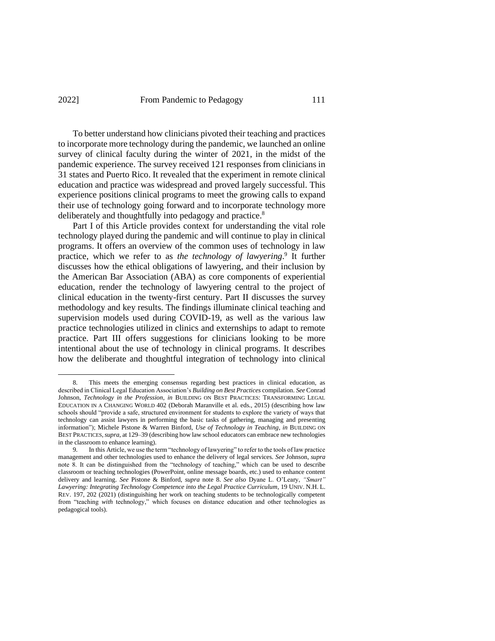# 2022] From Pandemic to Pedagogy 111

To better understand how clinicians pivoted their teaching and practices to incorporate more technology during the pandemic, we launched an online survey of clinical faculty during the winter of 2021, in the midst of the pandemic experience. The survey received 121 responses from clinicians in 31 states and Puerto Rico. It revealed that the experiment in remote clinical education and practice was widespread and proved largely successful. This experience positions clinical programs to meet the growing calls to expand their use of technology going forward and to incorporate technology more deliberately and thoughtfully into pedagogy and practice.<sup>8</sup>

Part I of this Article provides context for understanding the vital role technology played during the pandemic and will continue to play in clinical programs. It offers an overview of the common uses of technology in law practice, which we refer to as *the technology of lawyering*. 9 It further discusses how the ethical obligations of lawyering, and their inclusion by the American Bar Association (ABA) as core components of experiential education, render the technology of lawyering central to the project of clinical education in the twenty-first century. Part II discusses the survey methodology and key results. The findings illuminate clinical teaching and supervision models used during COVID-19, as well as the various law practice technologies utilized in clinics and externships to adapt to remote practice. Part III offers suggestions for clinicians looking to be more intentional about the use of technology in clinical programs. It describes how the deliberate and thoughtful integration of technology into clinical

<sup>8.</sup> This meets the emerging consensus regarding best practices in clinical education, as described in Clinical Legal Education Association's *Building on Best Practices* compilation. *See* Conrad Johnson, *Technology in the Profession*, *in* BUILDING ON BEST PRACTICES: TRANSFORMING LEGAL EDUCATION IN A CHANGING WORLD 402 (Deborah Maranville et al. eds., 2015) (describing how law schools should "provide a safe, structured environment for students to explore the variety of ways that technology can assist lawyers in performing the basic tasks of gathering, managing and presenting information"); Michele Pistone & Warren Binford, *Use of Technology in Teaching*, *in* BUILDING ON BEST PRACTICES,*supra*, at 129–39 (describing how law school educators can embrace new technologies in the classroom to enhance learning).

<sup>9.</sup> In this Article, we use the term "technology of lawyering" to refer to the tools of law practice management and other technologies used to enhance the delivery of legal services. *See* Johnson, *supra* note 8. It can be distinguished from the "technology of teaching," which can be used to describe classroom or teaching technologies (PowerPoint, online message boards, etc.) used to enhance content delivery and learning. *See* Pistone & Binford, *supra* note 8. *See also* Dyane L. O'Leary, *"Smart" Lawyering: Integrating Technology Competence into the Legal Practice Curriculum*, 19 UNIV. N.H. L. REV. 197, 202 (2021) (distinguishing her work on teaching students to be technologically competent from "teaching *with* technology," which focuses on distance education and other technologies as pedagogical tools).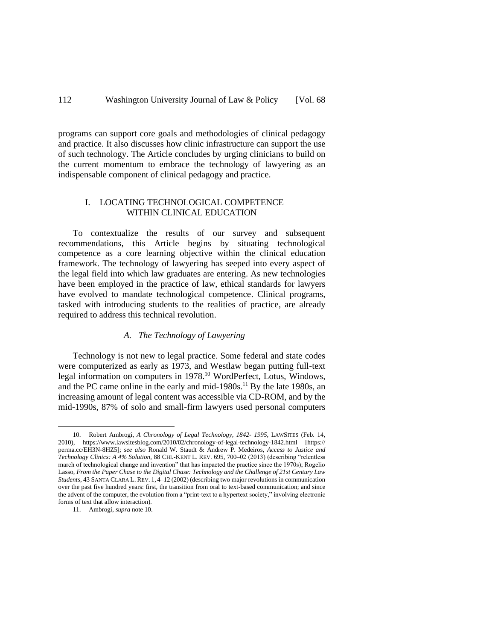# 112 Washington University Journal of Law & Policy [Vol. 68]

programs can support core goals and methodologies of clinical pedagogy and practice. It also discusses how clinic infrastructure can support the use of such technology. The Article concludes by urging clinicians to build on the current momentum to embrace the technology of lawyering as an indispensable component of clinical pedagogy and practice.

# I. LOCATING TECHNOLOGICAL COMPETENCE WITHIN CLINICAL EDUCATION

To contextualize the results of our survey and subsequent recommendations, this Article begins by situating technological competence as a core learning objective within the clinical education framework. The technology of lawyering has seeped into every aspect of the legal field into which law graduates are entering. As new technologies have been employed in the practice of law, ethical standards for lawyers have evolved to mandate technological competence. Clinical programs, tasked with introducing students to the realities of practice, are already required to address this technical revolution.

## *A. The Technology of Lawyering*

Technology is not new to legal practice. Some federal and state codes were computerized as early as 1973, and Westlaw began putting full-text legal information on computers in 1978.<sup>10</sup> WordPerfect, Lotus, Windows, and the PC came online in the early and mid-1980s.<sup>11</sup> By the late 1980s, an increasing amount of legal content was accessible via CD-ROM, and by the mid-1990s, 87% of solo and small-firm lawyers used personal computers

<sup>10.</sup> Robert Ambrogi, *A Chronology of Legal Technology, 1842- 1995*, LAWSITES (Feb. 14, 2010), https://www.lawsitesblog.com/2010/02/chronology-of-legal-technology-1842.html [https:// perma.cc/EH3N-8HZ5]; *see also* Ronald W. Staudt & Andrew P. Medeiros, *Access to Justice and Technology Clinics: A 4% Solution*, 88 CHI.-KENT L. REV. 695, 700–02 (2013) (describing "relentless march of technological change and invention" that has impacted the practice since the 1970s); Rogelio Lasso, *From the Paper Chase to the Digital Chase: Technology and the Challenge of 21st Century Law Students*, 43 SANTA CLARA L. REV. 1, 4–12 (2002) (describing two major revolutions in communication over the past five hundred years: first, the transition from oral to text-based communication; and since the advent of the computer, the evolution from a "print-text to a hypertext society," involving electronic forms of text that allow interaction).

<sup>11.</sup> Ambrogi, *supra* note 10.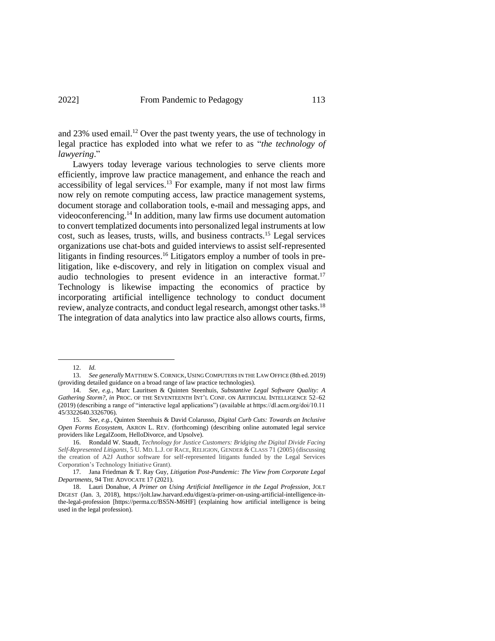and 23% used email.<sup>12</sup> Over the past twenty years, the use of technology in legal practice has exploded into what we refer to as "*the technology of lawyering*."

Lawyers today leverage various technologies to serve clients more efficiently, improve law practice management, and enhance the reach and  $accessibility$  of legal services.<sup>13</sup> For example, many if not most law firms now rely on remote computing access, law practice management systems, document storage and collaboration tools, e-mail and messaging apps, and videoconferencing. <sup>14</sup> In addition, many law firms use document automation to convert templatized documents into personalized legal instruments at low cost, such as leases, trusts, wills, and business contracts.<sup>15</sup> Legal services organizations use chat-bots and guided interviews to assist self-represented litigants in finding resources. <sup>16</sup> Litigators employ a number of tools in prelitigation, like e-discovery, and rely in litigation on complex visual and audio technologies to present evidence in an interactive format.<sup>17</sup> Technology is likewise impacting the economics of practice by incorporating artificial intelligence technology to conduct document review, analyze contracts, and conduct legal research, amongst other tasks.<sup>18</sup> The integration of data analytics into law practice also allows courts, firms,

<sup>12.</sup> *Id.* 

<sup>13.</sup> *See generally* MATTHEW S. CORNICK, USING COMPUTERS IN THE LAW OFFICE (8th ed. 2019) (providing detailed guidance on a broad range of law practice technologies).

<sup>14.</sup> *See, e.g.*, Marc Lauritsen & Quinten Steenhuis, *Substantive Legal Software Quality: A Gathering Storm?*, *in* PROC. OF THE SEVENTEENTH INT'L CONF. ON ARTIFICIAL INTELLIGENCE 52–62 (2019) (describing a range of "interactive legal applications") (available at https://dl.acm.org/doi/10.11 45/3322640.3326706).

<sup>15.</sup> *See, e.g.*, Quinten Steenhuis & David Colarusso, *Digital Curb Cuts: Towards an Inclusive Open Forms Ecosystem*, AKRON L. REV. (forthcoming) (describing online automated legal service providers like LegalZoom, HelloDivorce, and Upsolve).

<sup>16.</sup> Rondald W. Staudt, *Technology for Justice Customers: Bridging the Digital Divide Facing Self-Represented Litigants*, 5 U. MD. L.J. OF RACE, RELIGION, GENDER & CLASS 71 (2005) (discussing the creation of A2J Author software for self-represented litigants funded by the Legal Services Corporation's Technology Initiative Grant).

<sup>17.</sup> Jana Friedman & T. Ray Guy, *Litigation Post-Pandemic: The View from Corporate Legal Departments*, 94 THE ADVOCATE 17 (2021).

<sup>18.</sup> Lauri Donahue, *A Primer on Using Artificial Intelligence in the Legal Profession*, JOLT DIGEST (Jan. 3, 2018), https://jolt.law.harvard.edu/digest/a-primer-on-using-artificial-intelligence-inthe-legal-profession [https://perma.cc/BS5N-M6HF] (explaining how artificial intelligence is being used in the legal profession).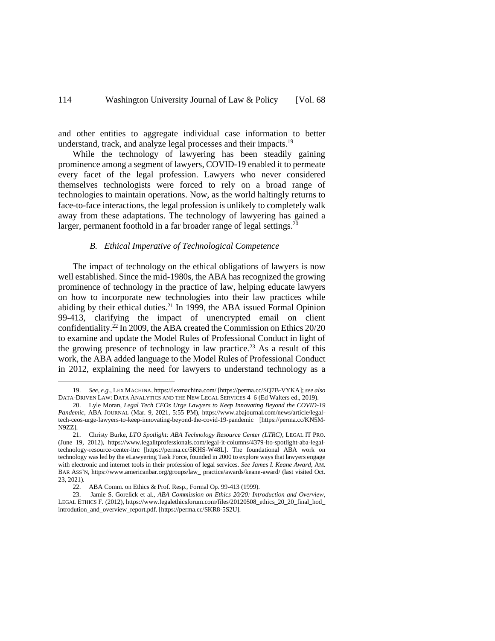and other entities to aggregate individual case information to better understand, track, and analyze legal processes and their impacts.<sup>19</sup>

While the technology of lawyering has been steadily gaining prominence among a segment of lawyers, COVID-19 enabled it to permeate every facet of the legal profession. Lawyers who never considered themselves technologists were forced to rely on a broad range of technologies to maintain operations. Now, as the world haltingly returns to face-to-face interactions, the legal profession is unlikely to completely walk away from these adaptations. The technology of lawyering has gained a larger, permanent foothold in a far broader range of legal settings.<sup>20</sup>

#### *B. Ethical Imperative of Technological Competence*

The impact of technology on the ethical obligations of lawyers is now well established. Since the mid-1980s, the ABA has recognized the growing prominence of technology in the practice of law, helping educate lawyers on how to incorporate new technologies into their law practices while abiding by their ethical duties.<sup>21</sup> In 1999, the ABA issued Formal Opinion 99-413, clarifying the impact of unencrypted email on client confidentiality. <sup>22</sup> In 2009, the ABA created the Commission on Ethics 20/20 to examine and update the Model Rules of Professional Conduct in light of the growing presence of technology in law practice.<sup>23</sup> As a result of this work, the ABA added language to the Model Rules of Professional Conduct in 2012, explaining the need for lawyers to understand technology as a

<sup>19.</sup> *See, e.g.*, LEX MACHINA, https://lexmachina.com/ [https://perma.cc/SQ7B-VYKA]; *see also*  DATA-DRIVEN LAW: DATA ANALYTICS AND THE NEW LEGAL SERVICES 4–6 (Ed Walters ed., 2019).

<sup>20.</sup> Lyle Moran, *Legal Tech CEOs Urge Lawyers to Keep Innovating Beyond the COVID-19 Pandemic*, ABA JOURNAL (Mar. 9, 2021, 5:55 PM), https://www.abajournal.com/news/article/legaltech-ceos-urge-lawyers-to-keep-innovating-beyond-the-covid-19-pandemic [https://perma.cc/KN5M-N9ZZ].

<sup>21.</sup> Christy Burke, *LTO Spotlight: ABA Technology Resource Center (LTRC)*, LEGAL IT PRO. (June 19, 2012), https://www.legalitprofessionals.com/legal-it-columns/4379-lto-spotlight-aba-legaltechnology-resource-center-ltrc [https://perma.cc/5KHS-W48L]. The foundational ABA work on technology was led by the eLawyering Task Force, founded in 2000 to explore ways that lawyers engage with electronic and internet tools in their profession of legal services. *See James I. Keane Award*, AM. BAR ASS'N, https://www.americanbar.org/groups/law\_ practice/awards/keane-award/ (last visited Oct. 23, 2021)*.*

<sup>22.</sup> ABA Comm. on Ethics & Prof. Resp., Formal Op. 99-413 (1999).

<sup>23.</sup> Jamie S. Gorelick et al., *ABA Commission on Ethics 20/20: Introduction and Overview*, LEGAL ETHICS F. (2012), https://www.legalethicsforum.com/files/20120508\_ethics\_20\_20\_final\_hod\_ introdution\_and\_overview\_report.pdf. [https://perma.cc/SKR8-5S2U].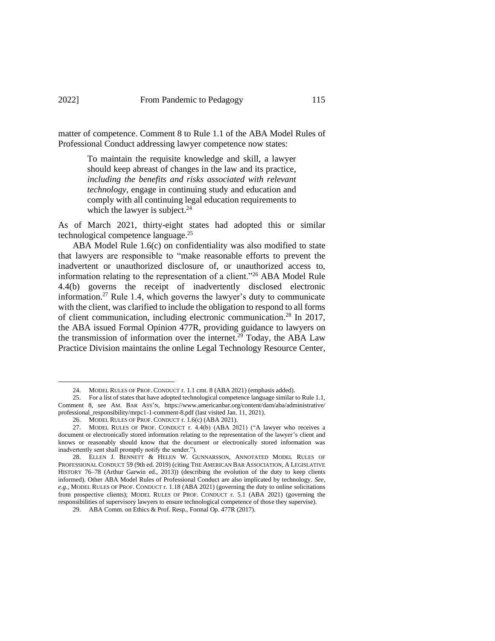matter of competence. Comment 8 to Rule 1.1 of the ABA Model Rules of Professional Conduct addressing lawyer competence now states:

> To maintain the requisite knowledge and skill, a lawyer should keep abreast of changes in the law and its practice, *including the benefits and risks associated with relevant technology*, engage in continuing study and education and comply with all continuing legal education requirements to which the lawyer is subject. $24$

As of March 2021, thirty-eight states had adopted this or similar technological competence language.<sup>25</sup>

ABA Model Rule 1.6(c) on confidentiality was also modified to state that lawyers are responsible to "make reasonable efforts to prevent the inadvertent or unauthorized disclosure of, or unauthorized access to, information relating to the representation of a client."<sup>26</sup> ABA Model Rule 4.4(b) governs the receipt of inadvertently disclosed electronic information.<sup>27</sup> Rule 1.4, which governs the lawyer's duty to communicate with the client, was clarified to include the obligation to respond to all forms of client communication, including electronic communication.<sup>28</sup> In 2017, the ABA issued Formal Opinion 477R, providing guidance to lawyers on the transmission of information over the internet.<sup>29</sup> Today, the ABA Law Practice Division maintains the online Legal Technology Resource Center,

<sup>24.</sup> MODEL RULES OF PROF. CONDUCT r. 1.1 cmt. 8 (ABA 2021) (emphasis added).

<sup>25.</sup> For a list of states that have adopted technological competence language similar to Rule 1.1, Comment 8, see AM. BAR ASS'N, https://www.americanbar.org/content/dam/aba/administrative/ professional\_responsibility/mrpc1-1-comment-8.pdf (last visited Jan. 11, 2021).

<sup>26.</sup> MODEL RULES OF PROF. CONDUCT r. 1.6(c) (ABA 2021).

<sup>27.</sup> MODEL RULES OF PROF. CONDUCT r. 4.4(b) (ABA 2021) ("A lawyer who receives a document or electronically stored information relating to the representation of the lawyer's client and knows or reasonably should know that the document or electronically stored information was inadvertently sent shall promptly notify the sender.").

<sup>28.</sup> ELLEN J. BENNETT & HELEN W. GUNNARSSON, ANNOTATED MODEL RULES OF PROFESSIONAL CONDUCT 59 (9th ed. 2019) (citing THE AMERICAN BAR ASSOCIATION, A LEGISLATIVE HISTORY 76–78 (Arthur Garwin ed., 2013)) (describing the evolution of the duty to keep clients informed). Other ABA Model Rules of Professional Conduct are also implicated by technology. *See, e.g.*, MODEL RULES OF PROF. CONDUCT r. 1.18 (ABA 2021) (governing the duty to online solicitations from prospective clients); MODEL RULES OF PROF. CONDUCT r. 5.1 (ABA 2021) (governing the responsibilities of supervisory lawyers to ensure technological competence of those they supervise).

<sup>29.</sup> ABA Comm. on Ethics & Prof. Resp., Formal Op. 477R (2017).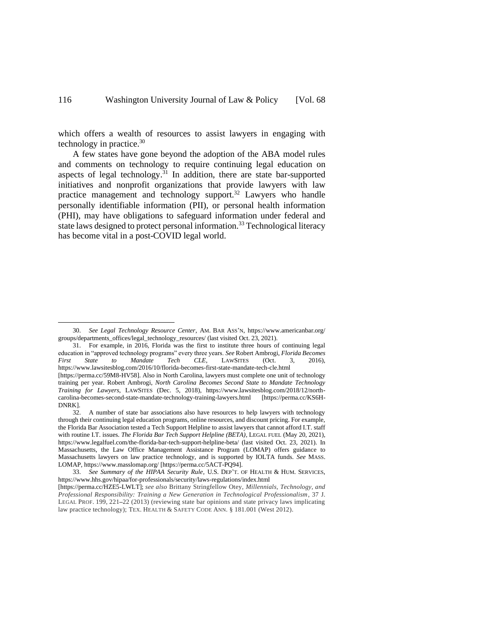which offers a wealth of resources to assist lawyers in engaging with technology in practice. 30

<span id="page-8-0"></span>A few states have gone beyond the adoption of the ABA model rules and comments on technology to require continuing legal education on aspects of legal technology.<sup>31</sup> In addition, there are state bar-supported initiatives and nonprofit organizations that provide lawyers with law practice management and technology support.<sup>32</sup> Lawyers who handle personally identifiable information (PII), or personal health information (PHI), may have obligations to safeguard information under federal and state laws designed to protect personal information.<sup>33</sup> Technological literacy has become vital in a post-COVID legal world.

<sup>30.</sup> *See Legal Technology Resource Center*, AM. BAR ASS'N, https://www.americanbar.org/ groups/departments\_offices/legal\_technology\_resources/ (last visited Oct. 23, 2021).

<sup>31.</sup> For example, in 2016, Florida was the first to institute three hours of continuing legal education in "approved technology programs" every three years. *See* Robert Ambrogi, *Florida Becomes First State to Mandate Tech CLE*, LAWSITES (Oct. 3, 2016), https://www.lawsitesblog.com/2016/10/florida-becomes-first-state-mandate-tech-cle.html [https://perma.cc/59M8-HV58]. Also in North Carolina, lawyers must complete one unit of technology training per year. Robert Ambrogi, *North Carolina Becomes Second State to Mandate Technology Training for Lawyers*, LAWSITES (Dec. 5, 2018), https://www.lawsitesblog.com/2018/12/northcarolina-becomes-second-state-mandate-technology-training-lawyers.html [https://perma.cc/KS6H-

DNRK].<br>32. 32. A number of state bar associations also have resources to help lawyers with technology through their continuing legal education programs, online resources, and discount pricing. For example, the Florida Bar Association tested a Tech Support Helpline to assist lawyers that cannot afford I.T. staff with routine I.T. issues. *The Florida Bar Tech Support Helpline (BETA)*, LEGAL FUEL (May 20, 2021), https://www.legalfuel.com/the-florida-bar-tech-support-helpline-beta/ (last visited Oct. 23, 2021). In Massachusetts, the Law Office Management Assistance Program (LOMAP) offers guidance to Massachusetts lawyers on law practice technology, and is supported by IOLTA funds. *See* MASS. LOMAP, https://www.masslomap.org/ [https://perma.cc/5ACT-PQ94].

<sup>33.</sup> *See Summary of the HIPAA Security Rule*, U.S. DEP'T. OF HEALTH & HUM. SERVICES, https://www.hhs.gov/hipaa/for-professionals/security/laws-regulations/index.html

<sup>[</sup>https://perma.cc/HZE5-LWLT]; *see also* Brittany Stringfellow Otey, *Millennials, Technology, and Professional Responsibility: Training a New Generation in Technological Professionalism*, 37 J. LEGAL PROF. 199, 221**–**22 (2013) (reviewing state bar opinions and state privacy laws implicating law practice technology); TEX. HEALTH & SAFETY CODE ANN. § 181.001 (West 2012).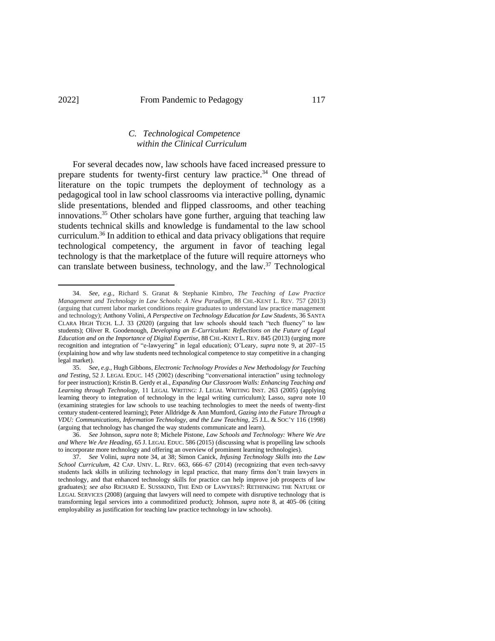# <span id="page-9-0"></span>*C. Technological Competence within the Clinical Curriculum*

For several decades now, law schools have faced increased pressure to prepare students for twenty-first century law practice.<sup>34</sup> One thread of literature on the topic trumpets the deployment of technology as a pedagogical tool in law school classrooms via interactive polling, dynamic slide presentations, blended and flipped classrooms, and other teaching innovations. <sup>35</sup> Other scholars have gone further, arguing that teaching law students technical skills and knowledge is fundamental to the law school curriculum.<sup>36</sup> In addition to ethical and data privacy obligations that require technological competency, the argument in favor of teaching legal technology is that the marketplace of the future will require attorneys who can translate between business, technology, and the law. <sup>37</sup> Technological

<sup>34.</sup> *See, e.g.*, Richard S. Granat & Stephanie Kimbro, *The Teaching of Law Practice Management and Technology in Law Schools: A New Paradigm*, 88 CHI.-KENT L. REV. 757 (2013) (arguing that current labor market conditions require graduates to understand law practice management and technology); Anthony Volini, *A Perspective on Technology Education for Law Students*, 36 SANTA CLARA HIGH TECH. L.J. 33 (2020) (arguing that law schools should teach "tech fluency" to law students); Oliver R. Goodenough, *Developing an E-Curriculum: Reflections on the Future of Legal Education and on the Importance of Digital Expertise*, 88 CHI.-KENT L. REV. 845 (2013) (urging more recognition and integration of "e-lawyering" in legal education); O'Leary, *supra* note 9, at 207–15 (explaining how and why law students need technological competence to stay competitive in a changing legal market).

<sup>35.</sup> *See, e.g.*, Hugh Gibbons, *Electronic Technology Provides a New Methodology for Teaching and Testing*, 52 J. LEGAL EDUC. 145 (2002) (describing "conversational interaction" using technology for peer instruction); Kristin B. Gerdy et al., *Expanding Our Classroom Walls: Enhancing Teaching and Learning through Technology*, 11 LEGAL WRITING: J. LEGAL WRITING INST. 263 (2005) (applying learning theory to integration of technology in the legal writing curriculum); Lasso, *supra* note 10 (examining strategies for law schools to use teaching technologies to meet the needs of twenty-first century student-centered learning); Peter Alldridge & Ann Mumford, *Gazing into the Future Through a VDU: Communications, Information Technology, and the Law Teaching*, 25 J.L. & SOC'Y 116 (1998) (arguing that technology has changed the way students communicate and learn).

<sup>36.</sup> *See* Johnson, *supra* note 8; Michele Pistone, *Law Schools and Technology: Where We Are and Where We Are Heading*, 65 J. LEGAL EDUC. 586 (2015) (discussing what is propelling law schools to incorporate more technology and offering an overview of prominent learning technologies).

<sup>37.</sup> *See* Volini, *supra* note 34, at 38; Simon Canick, *Infusing Technology Skills into the Law School Curriculum*, 42 CAP. UNIV. L. REV. 663, 666–67 (2014) (recognizing that even tech-savvy students lack skills in utilizing technology in legal practice, that many firms don't train lawyers in technology, and that enhanced technology skills for practice can help improve job prospects of law graduates); *see also* RICHARD E. SUSSKIND, THE END OF LAWYERS?: RETHINKING THE NATURE OF LEGAL SERVICES (2008) (arguing that lawyers will need to compete with disruptive technology that is transforming legal services into a commoditized product); Johnson, *supra* note 8, at 405–06 (citing employability as justification for teaching law practice technology in law schools).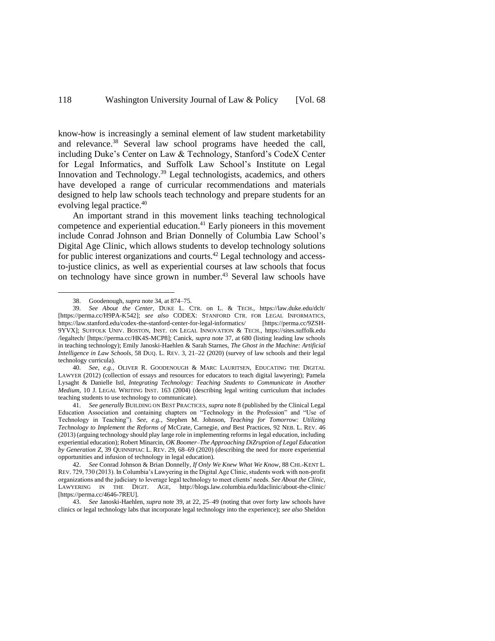<span id="page-10-0"></span>know-how is increasingly a seminal element of law student marketability and relevance.<sup>38</sup> Several law school programs have heeded the call, including Duke's Center on Law & Technology, Stanford's CodeX Center for Legal Informatics, and Suffolk Law School's Institute on Legal Innovation and Technology.<sup>39</sup> Legal technologists, academics, and others have developed a range of curricular recommendations and materials designed to help law schools teach technology and prepare students for an evolving legal practice.<sup>40</sup>

An important strand in this movement links teaching technological competence and experiential education.<sup>41</sup> Early pioneers in this movement include Conrad Johnson and Brian Donnelly of Columbia Law School's Digital Age Clinic, which allows students to develop technology solutions for public interest organizations and courts.<sup>42</sup> Legal technology and accessto-justice clinics, as well as experiential courses at law schools that focus on technology have since grown in number. <sup>43</sup> Several law schools have

40. *See, e.g.*, OLIVER R. GOODENOUGH & MARC LAURITSEN, EDUCATING THE DIGITAL LAWYER (2012) (collection of essays and resources for educators to teach digital lawyering); Pamela Lysaght & Danielle Istl, *Integrating Technology: Teaching Students to Communicate in Another Medium*, 10 J. LEGAL WRITING INST. 163 (2004) (describing legal writing curriculum that includes teaching students to use technology to communicate).

41. *See generally* BUILDING ON BEST PRACTICES, *supra* note 8 (published by the Clinical Legal Education Association and containing chapters on "Technology in the Profession" and "Use of Technology in Teaching"). *See, e.g.*, Stephen M. Johnson, *Teaching for Tomorrow: Utilizing Technology to Implement the Reforms of* McCrate*,* Carnegie*, and* Best Practices, 92 NEB. L. REV. 46 (2013) (arguing technology should play large role in implementing reforms in legal education, including experiential education); Robert Minarcin, *OK Boomer*–*The Approaching DiZruption of Legal Education by Generation Z*, 39 QUINNIPIAC L. REV. 29, 68–69 (2020) (describing the need for more experiential opportunities and infusion of technology in legal education).

43. *See* Janoski-Haehlen, *supra* note [39,](#page-10-0) at 22, 25–49 (noting that over forty law schools have clinics or legal technology labs that incorporate legal technology into the experience); *see also* Sheldon

<sup>38.</sup> Goodenough, *supra* note 34, at 874–75.

<sup>39.</sup> *See About the Center*, DUKE L. CTR. on L. & TECH., https://law.duke.edu/dclt/ [https://perma.cc/H9PA-K542]; *see also* CODEX: STANFORD CTR. FOR LEGAL INFORMATICS, https://law.stanford.edu/codex-the-stanford-center-for-legal-informatics/ [https://perma.cc/9ZSH-9YVX]; SUFFOLK UNIV. BOSTON, INST. ON LEGAL INNOVATION & TECH., https://sites.suffolk.edu /legaltech/ [https://perma.cc/HK4S-MCP8]; Canick, *supra* not[e 37,](#page-9-0) at 680 (listing leading law schools in teaching technology); Emily Janoski-Haehlen & Sarah Starnes, *The Ghost in the Machine: Artificial Intelligence in Law Schools*, 58 DUQ. L. REV. 3, 21–22 (2020) (survey of law schools and their legal technology curricula).

<sup>42.</sup> *See* Conrad Johnson & Brian Donnelly, *If Only We Knew What We Know*, 88 CHI.-KENT L. REV. 729, 730 (2013). In Columbia's Lawyering in the Digital Age Clinic, students work with non-profit organizations and the judiciary to leverage legal technology to meet clients' needs. *See About the Clinic*, LAWYERING IN THE DIGIT. AGE, http://blogs.law.columbia.edu/ldaclinic/about-the-clinic/ [https://perma.cc/4646-7REU].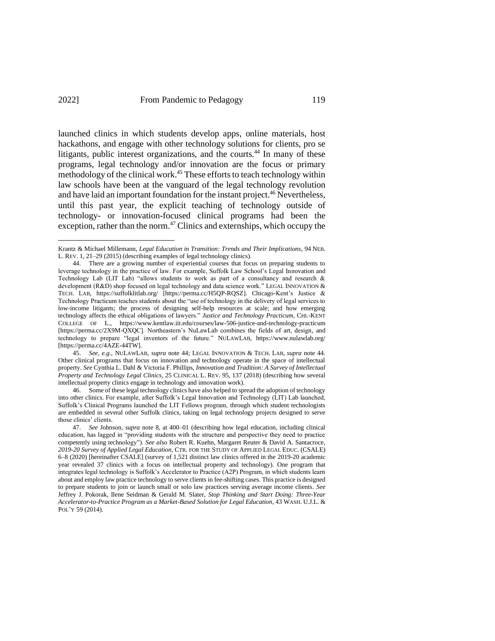<span id="page-11-0"></span>launched clinics in which students develop apps, online materials, host hackathons, and engage with other technology solutions for clients, pro se litigants, public interest organizations, and the courts.<sup>44</sup> In many of these programs, legal technology and/or innovation are the focus or primary methodology of the clinical work.<sup>45</sup> These efforts to teach technology within law schools have been at the vanguard of the legal technology revolution and have laid an important foundation for the instant project. <sup>46</sup> Nevertheless, until this past year, the explicit teaching of technology outside of technology- or innovation-focused clinical programs had been the exception, rather than the norm. $47$  Clinics and externships, which occupy the

46. Some of these legal technology clinics have also helped to spread the adoption of technology into other clinics. For example, after Suffolk's Legal Innovation and Technology (LIT) Lab launched, Suffolk's Clinical Programs launched the LIT Fellows program, through which student technologists are embedded in several other Suffolk clinics, taking on legal technology projects designed to serve those clinics' clients.

<span id="page-11-1"></span>Krantz & Michael Millemann, *Legal Education in Transition: Trends and Their Implications*, 94 NEB. L. REV. 1, 21–29 (2015) (describing examples of legal technology clinics).

<sup>44.</sup> There are a growing number of experiential courses that focus on preparing students to leverage technology in the practice of law. For example, Suffolk Law School's Legal Innovation and Technology Lab (LIT Lab) "allows students to work as part of a consultancy and research & development (R&D) shop focused on legal technology and data science work." LEGAL INNOVATION & TECH. LAB, https://suffolklitlab.org/ [https://perma.cc/H5QP-RQSZ]. Chicago-Kent's Justice & Technology Practicum teaches students about the "use of technology in the delivery of legal services to low-income litigants; the process of designing self-help resources at scale; and how emerging technology affects the ethical obligations of lawyers." *Justice and Technology Practicum*, CHI.-KENT COLLEGE OF L., https://www.kentlaw.iit.edu/courses/law-506-justice-and-technology-practicum [https://perma.cc/2X9M-QXQC]. Northeastern's NuLawLab combines the fields of art, design, and technology to prepare "legal inventors of the future." NULAWLAB, https://www.nulawlab.org/ [https://perma.cc/4AZE-44TW].

<sup>45.</sup> *See, e.g.*, NULAWLAB, *supra* not[e 44;](#page-11-0) LEGAL INNOVATION & TECH. LAB, *supra* note 44. Other clinical programs that focus on innovation and technology operate in the space of intellectual property. *See* Cynthia L. Dahl & Victoria F. Phillips, *Innovation and Tradition: A Survey of Intellectual Property and Technology Legal Clinics*, 25 CLINICAL L. REV. 95, 137 (2018) (describing how several intellectual property clinics engage in technology and innovation work).

<sup>47.</sup> *See* Johnson, *supra* note 8, at 400–01 (describing how legal education, including clinical education, has lagged in "providing students with the structure and perspective they need to practice competently using technology"). *See also* Robert R. Kuehn, Margaret Reuter & David A. Santacroce, *2019-20 Survey of Applied Legal Education*, CTR. FOR THE STUDY OF APPLIED LEGAL EDUC. (CSALE) 6–8 (2020) [hereinafter CSALE] (survey of 1,521 distinct law clinics offered in the 2019-20 academic year revealed 37 clinics with a focus on intellectual property and technology). One program that integrates legal technology is Suffolk's Accelerator to Practice (A2P) Program, in which students learn about and employ law practice technology to serve clients in fee-shifting cases. This practice is designed to prepare students to join or launch small or solo law practices serving average income clients. *See*  Jeffrey J. Pokorak, Ilene Seidman & Gerald M. Slater, *Stop Thinking and Start Doing: Three-Year Accelerator-to-Practice Program as a Market-Based Solution for Legal Education*, 43 WASH. U.J.L. & POL'Y 59 (2014).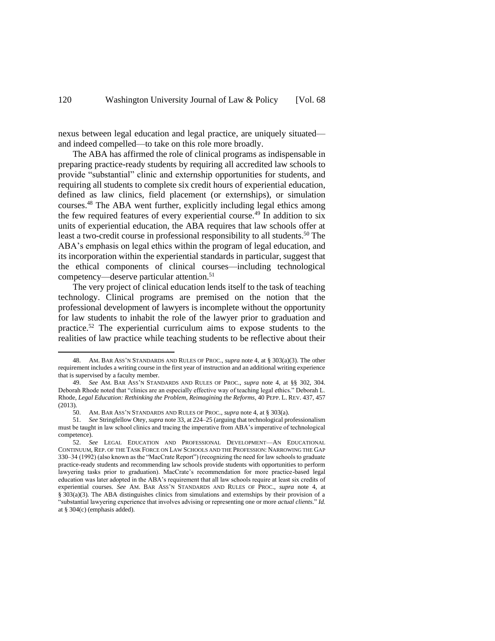nexus between legal education and legal practice, are uniquely situated and indeed compelled—to take on this role more broadly.

The ABA has affirmed the role of clinical programs as indispensable in preparing practice-ready students by requiring all accredited law schools to provide "substantial" clinic and externship opportunities for students, and requiring all students to complete six credit hours of experiential education, defined as law clinics, field placement (or externships), or simulation courses. <sup>48</sup> The ABA went further, explicitly including legal ethics among the few required features of every experiential course.<sup>49</sup> In addition to six units of experiential education, the ABA requires that law schools offer at least a two-credit course in professional responsibility to all students. <sup>50</sup> The ABA's emphasis on legal ethics within the program of legal education, and its incorporation within the experiential standards in particular, suggest that the ethical components of clinical courses—including technological competency—deserve particular attention.<sup>51</sup>

The very project of clinical education lends itself to the task of teaching technology. Clinical programs are premised on the notion that the professional development of lawyers is incomplete without the opportunity for law students to inhabit the role of the lawyer prior to graduation and practice.<sup>52</sup> The experiential curriculum aims to expose students to the realities of law practice while teaching students to be reflective about their

<sup>48.</sup> AM. BAR ASS'N STANDARDS AND RULES OF PROC., *supra* note [4,](#page-2-0) at § 303(a)(3). The other requirement includes a writing course in the first year of instruction and an additional writing experience that is supervised by a faculty member.

<sup>49.</sup> *See* AM. BAR ASS'N STANDARDS AND RULES OF PROC., *supra* note [4,](#page-2-0) at §§ 302, 304. Deborah Rhode noted that "clinics are an especially effective way of teaching legal ethics." Deborah L. Rhode, *Legal Education: Rethinking the Problem, Reimagining the Reforms*, 40 PEPP. L. REV. 437, 457 (2013).

<sup>50.</sup> AM. BAR ASS'N STANDARDS AND RULES OF PROC., *supra* not[e 4,](#page-2-0) at § 303(a).

<sup>51.</sup> *See* Stringfellow Otey, *supra* not[e 33,](#page-8-0) at 224–25 (arguing that technological professionalism must be taught in law school clinics and tracing the imperative from ABA's imperative of technological competence).

<sup>52.</sup> *See* LEGAL EDUCATION AND PROFESSIONAL DEVELOPMENT—AN EDUCATIONAL CONTINUUM, REP. OF THE TASK FORCE ON LAW SCHOOLS AND THE PROFESSION: NARROWING THE GAP 330–34 (1992) (also known as the "MacCrate Report") (recognizing the need for law schools to graduate practice-ready students and recommending law schools provide students with opportunities to perform lawyering tasks prior to graduation). MacCrate's recommendation for more practice-based legal education was later adopted in the ABA's requirement that all law schools require at least six credits of experiential courses. *See* AM. BAR ASS'N STANDARDS AND RULES OF PROC., *supra* note 4, at § 303(a)(3). The ABA distinguishes clinics from simulations and externships by their provision of a "substantial lawyering experience that involves advising or representing one or more *actual clients*." *Id.*  at § 304(c) (emphasis added).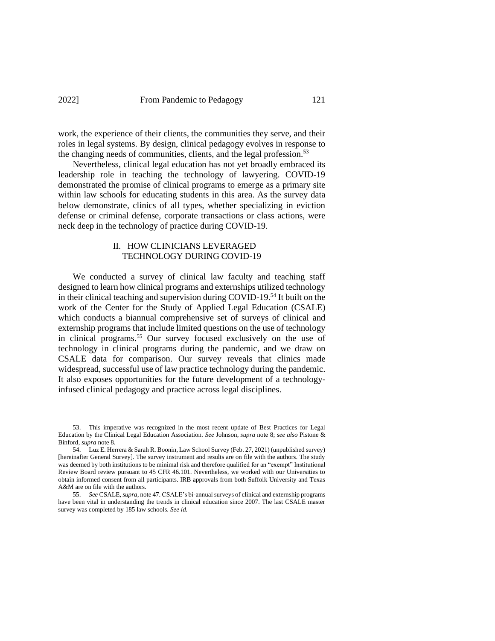## 2022] From Pandemic to Pedagogy 121

work, the experience of their clients, the communities they serve, and their roles in legal systems. By design, clinical pedagogy evolves in response to the changing needs of communities, clients, and the legal profession.<sup>53</sup>

Nevertheless, clinical legal education has not yet broadly embraced its leadership role in teaching the technology of lawyering. COVID-19 demonstrated the promise of clinical programs to emerge as a primary site within law schools for educating students in this area. As the survey data below demonstrate, clinics of all types, whether specializing in eviction defense or criminal defense, corporate transactions or class actions, were neck deep in the technology of practice during COVID-19.

# <span id="page-13-1"></span><span id="page-13-0"></span>II. HOW CLINICIANS LEVERAGED TECHNOLOGY DURING COVID-19

We conducted a survey of clinical law faculty and teaching staff designed to learn how clinical programs and externships utilized technology in their clinical teaching and supervision during COVID-19.<sup>54</sup> It built on the work of the Center for the Study of Applied Legal Education (CSALE) which conducts a biannual comprehensive set of surveys of clinical and externship programs that include limited questions on the use of technology in clinical programs.<sup>55</sup> Our survey focused exclusively on the use of technology in clinical programs during the pandemic, and we draw on CSALE data for comparison. Our survey reveals that clinics made widespread, successful use of law practice technology during the pandemic. It also exposes opportunities for the future development of a technologyinfused clinical pedagogy and practice across legal disciplines.

<sup>53.</sup> This imperative was recognized in the most recent update of Best Practices for Legal Education by the Clinical Legal Education Association. *See* Johnson, *supra* note 8; *see also* Pistone & Binford, *supra* note 8.

<sup>54.</sup> Luz E. Herrera & Sarah R. Boonin, Law School Survey (Feb. 27, 2021) (unpublished survey) [hereinafter General Survey]. The survey instrument and results are on file with the authors. The study was deemed by both institutions to be minimal risk and therefore qualified for an "exempt" Institutional Review Board review pursuant to 45 CFR 46.101. Nevertheless, we worked with our Universities to obtain informed consent from all participants. IRB approvals from both Suffolk University and Texas A&M are on file with the authors.

<sup>55.</sup> *See* CSALE, *supra*, note 47. CSALE's bi-annual surveys of clinical and externship programs have been vital in understanding the trends in clinical education since 2007. The last CSALE master survey was completed by 185 law schools. *See id.*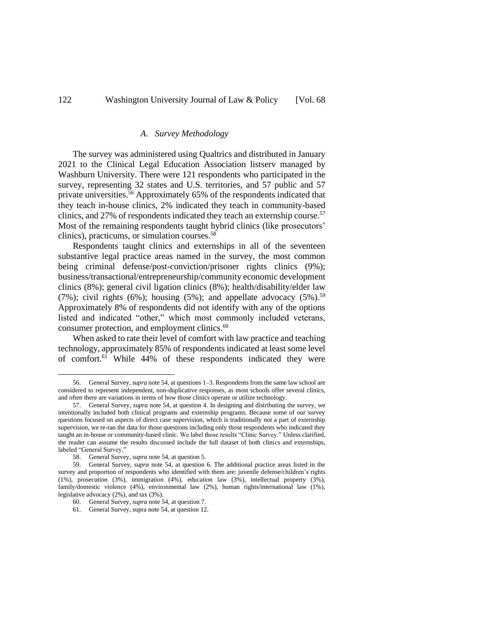#### *A. Survey Methodology*

The survey was administered using Qualtrics and distributed in January 2021 to the Clinical Legal Education Association listserv managed by Washburn University. There were 121 respondents who participated in the survey, representing 32 states and U.S. territories, and 57 public and 57 private universities. <sup>56</sup> Approximately 65% of the respondents indicated that they teach in-house clinics, 2% indicated they teach in community-based clinics, and 27% of respondents indicated they teach an externship course.<sup>57</sup> Most of the remaining respondents taught hybrid clinics (like prosecutors' clinics), practicums, or simulation courses.<sup>58</sup>

Respondents taught clinics and externships in all of the seventeen substantive legal practice areas named in the survey, the most common being criminal defense/post-conviction/prisoner rights clinics (9%); business/transactional/entrepreneurship/community economic development clinics (8%); general civil ligation clinics (8%); health/disability/elder law (7%); civil rights (6%); housing (5%); and appellate advocacy (5%).<sup>59</sup> Approximately 8% of respondents did not identify with any of the options listed and indicated "other," which most commonly included veterans, consumer protection, and employment clinics.<sup>60</sup>

When asked to rate their level of comfort with law practice and teaching technology, approximately 85% of respondents indicated at least some level of comfort.<sup>61</sup> While 44% of these respondents indicated they were

<sup>56.</sup> General Survey, *supra* not[e 54,](#page-13-0) at questions 1–3. Respondents from the same law school are considered to represent independent, non-duplicative responses, as most schools offer several clinics, and often there are variations in terms of how those clinics operate or utilize technology.

<sup>57.</sup> General Survey, *supra* not[e 54,](#page-13-0) at question 4. In designing and distributing the survey, we intentionally included both clinical programs and externship programs. Because some of our survey questions focused on aspects of direct case supervision, which is traditionally not a part of externship supervision, we re-ran the data for those questions including only those respondents who indicated they taught an in-house or community-based clinic. We label those results "Clinic Survey." Unless clarified, the reader can assume the results discussed include the full dataset of both clinics and externships, labeled "General Survey."

<sup>58.</sup> General Survey, *supra* not[e 54,](#page-13-0) at question 5.

<sup>59.</sup> General Survey, *supra* note [54,](#page-13-0) at question 6. The additional practice areas listed in the survey and proportion of respondents who identified with them are: juvenile defense/children's rights (1%), prosecution (3%), immigration (4%), education law (3%), intellectual property (3%), family/domestic violence (4%), environmental law (2%), human rights/international law (1%), legislative advocacy (2%), and tax (3%).

<sup>60.</sup> General Survey, *supra* not[e 54,](#page-13-0) at question 7.

<sup>61.</sup> General Survey, supra not[e 54,](#page-13-0) at question 12.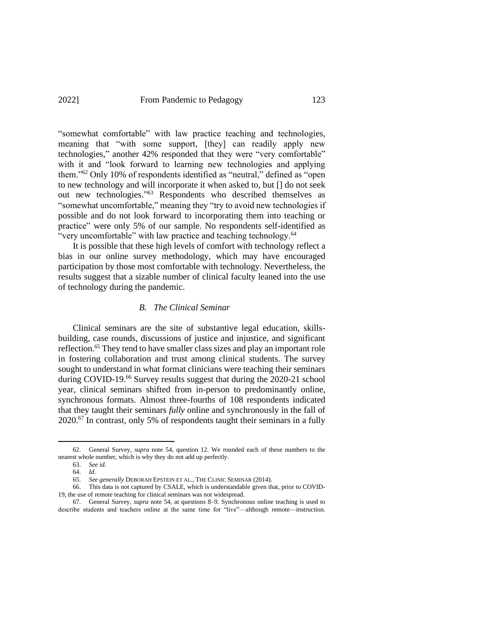"somewhat comfortable" with law practice teaching and technologies, meaning that "with some support, [they] can readily apply new technologies," another 42% responded that they were "very comfortable" with it and "look forward to learning new technologies and applying them."<sup>62</sup> Only 10% of respondents identified as "neutral," defined as "open to new technology and will incorporate it when asked to, but [] do not seek out new technologies." <sup>63</sup> Respondents who described themselves as "somewhat uncomfortable," meaning they "try to avoid new technologies if possible and do not look forward to incorporating them into teaching or practice" were only 5% of our sample. No respondents self-identified as "very uncomfortable" with law practice and teaching technology.<sup>64</sup>

It is possible that these high levels of comfort with technology reflect a bias in our online survey methodology, which may have encouraged participation by those most comfortable with technology. Nevertheless, the results suggest that a sizable number of clinical faculty leaned into the use of technology during the pandemic.

### *B. The Clinical Seminar*

Clinical seminars are the site of substantive legal education, skillsbuilding, case rounds, discussions of justice and injustice, and significant reflection. <sup>65</sup> They tend to have smaller class sizes and play an important role in fostering collaboration and trust among clinical students. The survey sought to understand in what format clinicians were teaching their seminars during COVID-19.<sup>66</sup> Survey results suggest that during the 2020-21 school year, clinical seminars shifted from in-person to predominantly online, synchronous formats. Almost three-fourths of 108 respondents indicated that they taught their seminars *fully* online and synchronously in the fall of 2020.<sup>67</sup> In contrast, only 5% of respondents taught their seminars in a fully

<sup>62.</sup> General Survey, *supra* note 54, question 12. We rounded each of these numbers to the nearest whole number, which is why they do not add up perfectly.

<sup>63.</sup> *See id.*

<sup>64.</sup> *Id.*

<sup>65.</sup> *See generally* DEBORAH EPSTEIN ET AL., THE CLINIC SEMINAR (2014).

<sup>66.</sup> This data is not captured by CSALE, which is understandable given that, prior to COVID-19, the use of remote teaching for clinical seminars was not widespread.

<sup>67.</sup> General Survey, *supra* note [54,](#page-13-0) at questions 8–9. Synchronous online teaching is used to describe students and teachers online at the same time for "live"—although remote—instruction.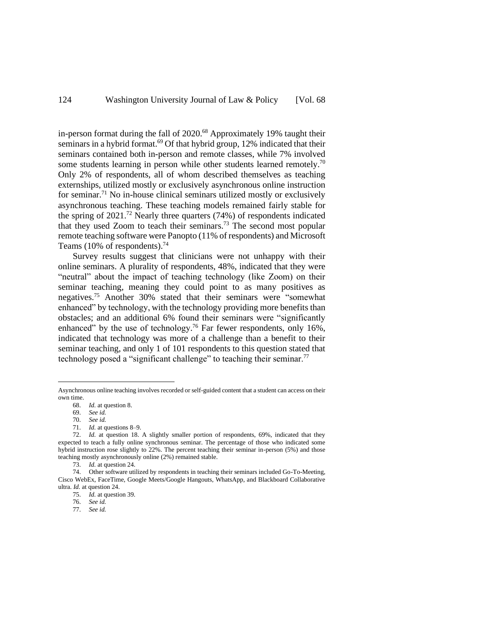in-person format during the fall of 2020.<sup>68</sup> Approximately 19% taught their seminars in a hybrid format.<sup>69</sup> Of that hybrid group, 12% indicated that their seminars contained both in-person and remote classes, while 7% involved some students learning in person while other students learned remotely.<sup>70</sup> Only 2% of respondents, all of whom described themselves as teaching externships, utilized mostly or exclusively asynchronous online instruction for seminar.<sup>71</sup> No in-house clinical seminars utilized mostly or exclusively asynchronous teaching. These teaching models remained fairly stable for the spring of  $2021$ .<sup>72</sup> Nearly three quarters (74%) of respondents indicated that they used Zoom to teach their seminars. <sup>73</sup> The second most popular remote teaching software were Panopto (11% of respondents) and Microsoft Teams (10% of respondents).<sup>74</sup>

Survey results suggest that clinicians were not unhappy with their online seminars. A plurality of respondents, 48%, indicated that they were "neutral" about the impact of teaching technology (like Zoom) on their seminar teaching, meaning they could point to as many positives as negatives.<sup>75</sup> Another 30% stated that their seminars were "somewhat enhanced" by technology, with the technology providing more benefits than obstacles; and an additional 6% found their seminars were "significantly enhanced" by the use of technology.<sup>76</sup> Far fewer respondents, only 16%, indicated that technology was more of a challenge than a benefit to their seminar teaching, and only 1 of 101 respondents to this question stated that technology posed a "significant challenge" to teaching their seminar.<sup>77</sup>

Asynchronous online teaching involves recorded or self-guided content that a student can access on their own time.

<sup>68.</sup> *Id.* at question 8.

<sup>69.</sup> *See id.*

<sup>70.</sup> *See id.*

<sup>71.</sup> *Id.* at questions 8–9.

<sup>72.</sup> *Id.* at question 18. A slightly smaller portion of respondents, 69%, indicated that they expected to teach a fully online synchronous seminar. The percentage of those who indicated some hybrid instruction rose slightly to 22%. The percent teaching their seminar in-person (5%) and those teaching mostly asynchronously online (2%) remained stable.

<sup>73.</sup> *Id.* at question 24.

<sup>74.</sup> Other software utilized by respondents in teaching their seminars included Go-To-Meeting, Cisco WebEx, FaceTime, Google Meets/Google Hangouts, WhatsApp, and Blackboard Collaborative ultra. *Id.* at question 24.

<sup>75.</sup> *Id.* at question 39.

<sup>76.</sup> *See id.*

<sup>77.</sup> *See id.*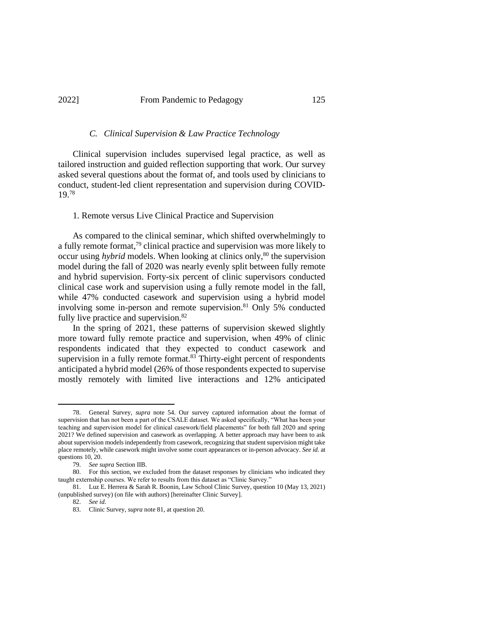#### *C. Clinical Supervision & Law Practice Technology*

Clinical supervision includes supervised legal practice, as well as tailored instruction and guided reflection supporting that work. Our survey asked several questions about the format of, and tools used by clinicians to conduct, student-led client representation and supervision during COVID-19. 78

#### 1. Remote versus Live Clinical Practice and Supervision

As compared to the clinical seminar, which shifted overwhelmingly to a fully remote format,<sup>79</sup> clinical practice and supervision was more likely to occur using *hybrid* models. When looking at clinics only,<sup>80</sup> the supervision model during the fall of 2020 was nearly evenly split between fully remote and hybrid supervision. Forty-six percent of clinic supervisors conducted clinical case work and supervision using a fully remote model in the fall, while 47% conducted casework and supervision using a hybrid model involving some in-person and remote supervision. <sup>81</sup> Only 5% conducted fully live practice and supervision.<sup>82</sup>

<span id="page-17-0"></span>In the spring of 2021, these patterns of supervision skewed slightly more toward fully remote practice and supervision, when 49% of clinic respondents indicated that they expected to conduct casework and supervision in a fully remote format.<sup>83</sup> Thirty-eight percent of respondents anticipated a hybrid model (26% of those respondents expected to supervise mostly remotely with limited live interactions and 12% anticipated

<sup>78.</sup> General Survey, *supra* note [54.](#page-13-0) Our survey captured information about the format of supervision that has not been a part of the CSALE dataset. We asked specifically, "What has been your teaching and supervision model for clinical casework/field placements" for both fall 2020 and spring 2021? We defined supervision and casework as overlapping. A better approach may have been to ask about supervision models independently from casework, recognizing that student supervision might take place remotely, while casework might involve some court appearances or in-person advocacy. *See id.* at questions 10, 20.

<sup>79.</sup> *See supra* Section IIB.

<sup>80.</sup> For this section, we excluded from the dataset responses by clinicians who indicated they taught externship courses. We refer to results from this dataset as "Clinic Survey."

<sup>81.</sup> Luz E. Herrera & Sarah R. Boonin, Law School Clinic Survey, question 10 (May 13, 2021) (unpublished survey) (on file with authors) [hereinafter Clinic Survey].

<sup>82.</sup> *See id*.

<sup>83.</sup> Clinic Survey, *supra* note 81, at question 20.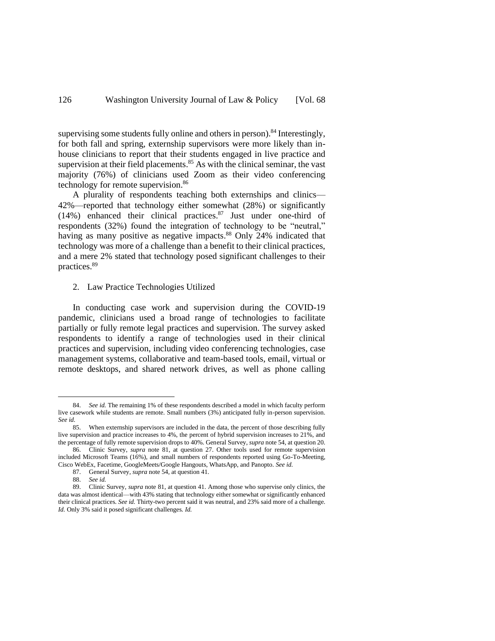supervising some students fully online and others in person).<sup>84</sup> Interestingly, for both fall and spring, externship supervisors were more likely than inhouse clinicians to report that their students engaged in live practice and supervision at their field placements.<sup>85</sup> As with the clinical seminar, the vast majority (76%) of clinicians used Zoom as their video conferencing technology for remote supervision.<sup>86</sup>

A plurality of respondents teaching both externships and clinics— 42%—reported that technology either somewhat (28%) or significantly (14%) enhanced their clinical practices. <sup>87</sup> Just under one-third of respondents (32%) found the integration of technology to be "neutral," having as many positive as negative impacts.<sup>88</sup> Only 24% indicated that technology was more of a challenge than a benefit to their clinical practices, and a mere 2% stated that technology posed significant challenges to their practices.<sup>89</sup>

2. Law Practice Technologies Utilized

In conducting case work and supervision during the COVID-19 pandemic, clinicians used a broad range of technologies to facilitate partially or fully remote legal practices and supervision. The survey asked respondents to identify a range of technologies used in their clinical practices and supervision, including video conferencing technologies, case management systems, collaborative and team-based tools, email, virtual or remote desktops, and shared network drives, as well as phone calling

<sup>84.</sup> *See id.* The remaining 1% of these respondents described a model in which faculty perform live casework while students are remote. Small numbers (3%) anticipated fully in-person supervision. *See id.*

<sup>85.</sup> When externship supervisors are included in the data, the percent of those describing fully live supervision and practice increases to 4%, the percent of hybrid supervision increases to 21%, and the percentage of fully remote supervision drops to 40%. General Survey, *supra* not[e 54,](#page-13-0) at question 20.

<sup>86.</sup> Clinic Survey, *supra* note 81, at question 27. Other tools used for remote supervision included Microsoft Teams (16%), and small numbers of respondents reported using Go-To-Meeting, Cisco WebEx, Facetime, GoogleMeets/Google Hangouts, WhatsApp, and Panopto. *See id.*

<sup>87.</sup> General Survey, *supra* not[e 54,](#page-13-0) at question 41.

<sup>88.</sup> *See id.*

<sup>89.</sup> Clinic Survey, *supra* note 81, at question 41. Among those who supervise only clinics, the data was almost identical—with 43% stating that technology either somewhat or significantly enhanced their clinical practices. *See id.* Thirty-two percent said it was neutral, and 23% said more of a challenge. *Id.* Only 3% said it posed significant challenges. *Id.*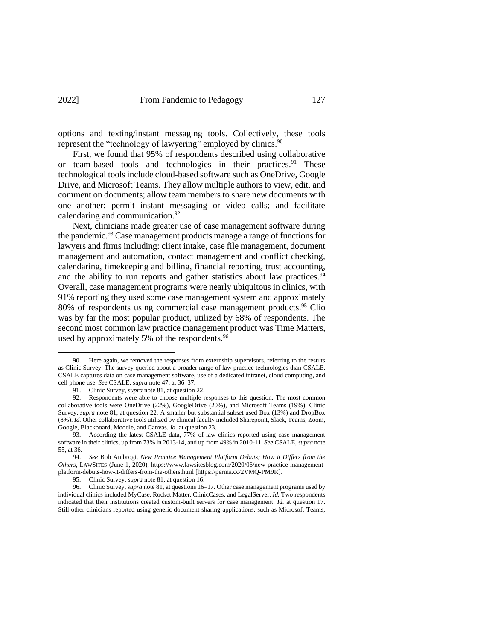options and texting/instant messaging tools. Collectively, these tools represent the "technology of lawyering" employed by clinics.<sup>90</sup>

First, we found that 95% of respondents described using collaborative or team-based tools and technologies in their practices. <sup>91</sup> These technological tools include cloud-based software such as OneDrive, Google Drive, and Microsoft Teams. They allow multiple authors to view, edit, and comment on documents; allow team members to share new documents with one another; permit instant messaging or video calls; and facilitate calendaring and communication.<sup>92</sup>

Next, clinicians made greater use of case management software during the pandemic.<sup>93</sup> Case management products manage a range of functions for lawyers and firms including: client intake, case file management, document management and automation, contact management and conflict checking, calendaring, timekeeping and billing, financial reporting, trust accounting, and the ability to run reports and gather statistics about law practices.<sup>94</sup> Overall, case management programs were nearly ubiquitous in clinics, with 91% reporting they used some case management system and approximately 80% of respondents using commercial case management products.<sup>95</sup> Clio was by far the most popular product, utilized by 68% of respondents. The second most common law practice management product was Time Matters, used by approximately 5% of the respondents.<sup>96</sup>

95. Clinic Survey, *supra* note 81, at question 16.

<sup>90.</sup> Here again, we removed the responses from externship supervisors, referring to the results as Clinic Survey. The survey queried about a broader range of law practice technologies than CSALE. CSALE captures data on case management software, use of a dedicated intranet, cloud computing, and cell phone use. *See* CSALE, *supra* note 47, at 36–37.

<sup>91.</sup> Clinic Survey, *supra* note 81, at question 22.

<sup>92.</sup> Respondents were able to choose multiple responses to this question. The most common collaborative tools were OneDrive (22%), GoogleDrive (20%), and Microsoft Teams (19%). Clinic Survey, *supra* note 81, at question 22. A smaller but substantial subset used Box (13%) and DropBox (8%). *Id.* Other collaborative tools utilized by clinical faculty included Sharepoint, Slack, Teams, Zoom, Google, Blackboard, Moodle, and Canvas. *Id.* at question 23.

<sup>93.</sup> According the latest CSALE data, 77% of law clinics reported using case management software in their clinics, up from 73% in 2013-14, and up from 49% in 2010-11. *See* CSALE, *supra* note [55,](#page-13-1) at 36.

<sup>94.</sup> *See* Bob Ambrogi, *New Practice Management Platform Debuts; How it Differs from the Others*, LAWSITES (June 1, 2020), https://www.lawsitesblog.com/2020/06/new-practice-managementplatform-debuts-how-it-differs-from-the-others.html [https://perma.cc/2VMQ-PM9R].

<sup>96.</sup> Clinic Survey, *supra* note 81, at questions 16–17. Other case management programs used by individual clinics included MyCase, Rocket Matter, ClinicCases, and LegalServer. *Id.* Two respondents indicated that their institutions created custom-built servers for case management. *Id.* at question 17. Still other clinicians reported using generic document sharing applications, such as Microsoft Teams,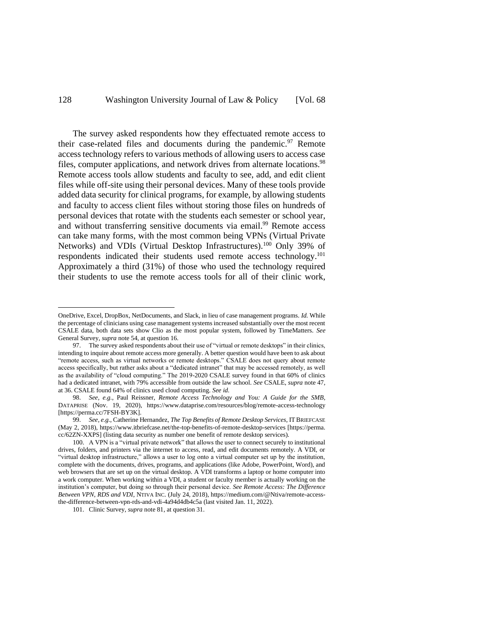The survey asked respondents how they effectuated remote access to their case-related files and documents during the pandemic.<sup>97</sup> Remote access technology refers to various methods of allowing users to access case files, computer applications, and network drives from alternate locations.<sup>98</sup> Remote access tools allow students and faculty to see, add, and edit client files while off-site using their personal devices. Many of these tools provide added data security for clinical programs, for example, by allowing students and faculty to access client files without storing those files on hundreds of personal devices that rotate with the students each semester or school year, and without transferring sensitive documents via email.<sup>99</sup> Remote access can take many forms, with the most common being VPNs (Virtual Private Networks) and VDIs (Virtual Desktop Infrastructures).<sup>100</sup> Only 39% of respondents indicated their students used remote access technology.<sup>101</sup> Approximately a third (31%) of those who used the technology required their students to use the remote access tools for all of their clinic work,

OneDrive, Excel, DropBox, NetDocuments, and Slack, in lieu of case management programs. *Id.* While the percentage of clinicians using case management systems increased substantially over the most recent CSALE data, both data sets show Clio as the most popular system, followed by TimeMatters. *See*  General Survey, *supra* note 54, at question 16.

<sup>97.</sup> The survey asked respondents about their use of "virtual or remote desktops" in their clinics, intending to inquire about remote access more generally. A better question would have been to ask about "remote access, such as virtual networks or remote desktops." CSALE does not query about remote access specifically, but rather asks about a "dedicated intranet" that may be accessed remotely, as well as the availability of "cloud computing." The 2019-2020 CSALE survey found in that 60% of clinics had a dedicated intranet, with 79% accessible from outside the law school. *See* CSALE, *supra* note 47, at 36. CSALE found 64% of clinics used cloud computing. *See id.*

<sup>98.</sup> *See, e.g.*, Paul Reissner, *Remote Access Technology and You: A Guide for the SMB*, DATAPRISE (Nov. 19, 2020), https://www.dataprise.com/resources/blog/remote-access-technology [https://perma.cc/7FSH-BY3K].

<sup>99.</sup> *See, e.g.*, Catherine Hernandez, *The Top Benefits of Remote Desktop Services*, ITBRIEFCASE (May 2, 2018), https://www.itbriefcase.net/the-top-benefits-of-remote-desktop-services [https://perma. cc/62ZN-XXPS] (listing data security as number one benefit of remote desktop services).

<sup>100.</sup> A VPN is a "virtual private network" that allows the user to connect securely to institutional drives, folders, and printers via the internet to access, read, and edit documents remotely. A VDI, or "virtual desktop infrastructure," allows a user to log onto a virtual computer set up by the institution, complete with the documents, drives, programs, and applications (like Adobe, PowerPoint, Word), and web browsers that are set up on the virtual desktop. A VDI transforms a laptop or home computer into a work computer. When working within a VDI, a student or faculty member is actually working on the institution's computer, but doing so through their personal device. *See Remote Access: The Difference Between VPN, RDS and VDI*, NTIVA INC. (July 24, 2018), https://medium.com/@Ntiva/remote-accessthe-difference-between-vpn-rds-and-vdi-4a94d4db4c5a (last visited Jan. 11, 2022).

<sup>101.</sup> Clinic Survey, *supra* note 81, at question 31.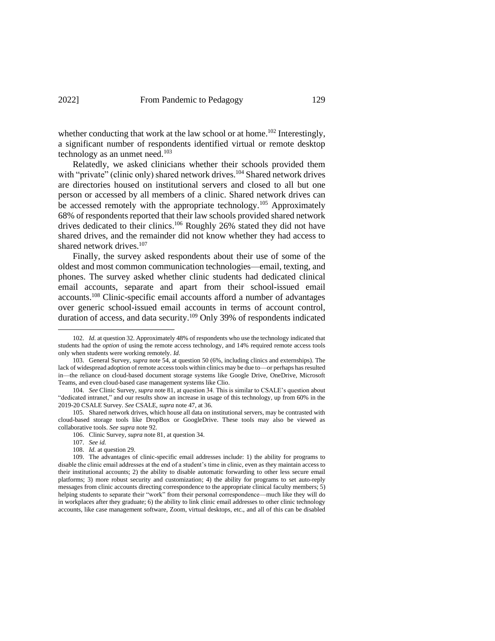whether conducting that work at the law school or at home.<sup>102</sup> Interestingly, a significant number of respondents identified virtual or remote desktop technology as an unmet need. $103$ 

Relatedly, we asked clinicians whether their schools provided them with "private" (clinic only) shared network drives.<sup>104</sup> Shared network drives are directories housed on institutional servers and closed to all but one person or accessed by all members of a clinic. Shared network drives can be accessed remotely with the appropriate technology.<sup>105</sup> Approximately 68% of respondents reported that their law schools provided shared network drives dedicated to their clinics.<sup>106</sup> Roughly 26% stated they did not have shared drives, and the remainder did not know whether they had access to shared network drives.<sup>107</sup>

Finally, the survey asked respondents about their use of some of the oldest and most common communication technologies—email, texting, and phones. The survey asked whether clinic students had dedicated clinical email accounts, separate and apart from their school-issued email accounts.<sup>108</sup> Clinic-specific email accounts afford a number of advantages over generic school-issued email accounts in terms of account control, duration of access, and data security.<sup>109</sup> Only 39% of respondents indicated

<sup>102.</sup> *Id.* at question 32. Approximately 48% of respondents who use the technology indicated that students had the *option* of using the remote access technology, and 14% required remote access tools only when students were working remotely. *Id.*

<sup>103.</sup> General Survey, *supra* not[e 54,](#page-13-0) at question 50 (6%, including clinics and externships). The lack of widespread adoption of remote access tools within clinics may be due to—or perhaps has resulted in—the reliance on cloud-based document storage systems like Google Drive, OneDrive, Microsoft Teams, and even cloud-based case management systems like Clio.

<sup>104.</sup> *See* Clinic Survey, *supra* note 81, at question 34. This is similar to CSALE's question about "dedicated intranet," and our results show an increase in usage of this technology, up from 60% in the 2019-20 CSALE Survey. *See* CSALE, *supra* note 47, at 36.

<sup>105.</sup> Shared network drives, which house all data on institutional servers, may be contrasted with cloud-based storage tools like DropBox or GoogleDrive. These tools may also be viewed as collaborative tools. *See supra* note 92.

<sup>106.</sup> Clinic Survey, *supra* note 81, at question 34.

<sup>107.</sup> *See id.*

<sup>108.</sup> *Id.* at question 29.

<sup>109.</sup> The advantages of clinic-specific email addresses include: 1) the ability for programs to disable the clinic email addresses at the end of a student's time in clinic, even as they maintain access to their institutional accounts; 2) the ability to disable automatic forwarding to other less secure email platforms; 3) more robust security and customization; 4) the ability for programs to set auto-reply messages from clinic accounts directing correspondence to the appropriate clinical faculty members; 5) helping students to separate their "work" from their personal correspondence—much like they will do in workplaces after they graduate; 6) the ability to link clinic email addresses to other clinic technology accounts, like case management software, Zoom, virtual desktops, etc., and all of this can be disabled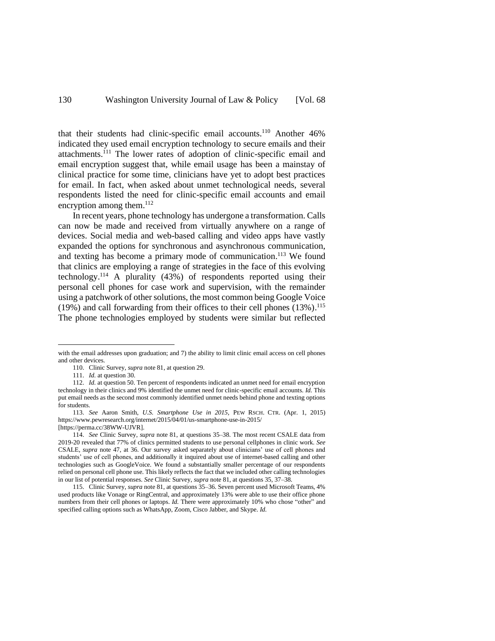that their students had clinic-specific email accounts.<sup>110</sup> Another 46% indicated they used email encryption technology to secure emails and their attachments.<sup>111</sup> The lower rates of adoption of clinic-specific email and email encryption suggest that, while email usage has been a mainstay of clinical practice for some time, clinicians have yet to adopt best practices for email. In fact, when asked about unmet technological needs, several respondents listed the need for clinic-specific email accounts and email encryption among them.<sup>112</sup>

In recent years, phone technology has undergone a transformation. Calls can now be made and received from virtually anywhere on a range of devices. Social media and web-based calling and video apps have vastly expanded the options for synchronous and asynchronous communication, and texting has become a primary mode of communication. <sup>113</sup> We found that clinics are employing a range of strategies in the face of this evolving technology.<sup>114</sup> A plurality  $(43%)$  of respondents reported using their personal cell phones for case work and supervision, with the remainder using a patchwork of other solutions, the most common being Google Voice (19%) and call forwarding from their offices to their cell phones (13%). 115 The phone technologies employed by students were similar but reflected

with the email addresses upon graduation; and 7) the ability to limit clinic email access on cell phones and other devices.

<sup>110.</sup> Clinic Survey, *supra* note 81, at question 29.

<sup>111.</sup> *Id.* at question 30.

<sup>112.</sup> *Id.* at question 50. Ten percent of respondents indicated an unmet need for email encryption technology in their clinics and 9% identified the unmet need for clinic-specific email accounts. *Id.* This put email needs as the second most commonly identified unmet needs behind phone and texting options for students.

<sup>113.</sup> *See* Aaron Smith, *U.S. Smartphone Use in 2015*, PEW RSCH. CTR. (Apr. 1, 2015) https://www.pewresearch.org/internet/2015/04/01/us-smartphone-use-in-2015/ [https://perma.cc/38WW-UJVR].

<sup>114.</sup> *See* Clinic Survey, *supra* note 81, at questions 35–38. The most recent CSALE data from 2019-20 revealed that 77% of clinics permitted students to use personal cellphones in clinic work. *See*  CSALE, *supra* note 47, at 36. Our survey asked separately about clinicians' use of cell phones and students' use of cell phones, and additionally it inquired about use of internet-based calling and other technologies such as GoogleVoice. We found a substantially smaller percentage of our respondents relied on personal cell phone use. This likely reflects the fact that we included other calling technologies in our list of potential responses. *See* Clinic Survey, *supra* note 81, at questions 35, 37–38.

<sup>115.</sup> Clinic Survey, *supra* note 81, at questions 35–36. Seven percent used Microsoft Teams, 4% used products like Vonage or RingCentral, and approximately 13% were able to use their office phone numbers from their cell phones or laptops. *Id.* There were approximately 10% who chose "other" and specified calling options such as WhatsApp, Zoom, Cisco Jabber, and Skype. *Id.*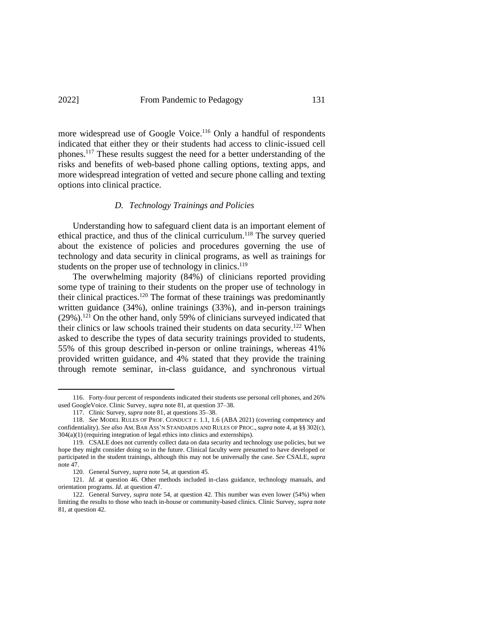more widespread use of Google Voice.<sup>116</sup> Only a handful of respondents indicated that either they or their students had access to clinic-issued cell phones. <sup>117</sup> These results suggest the need for a better understanding of the risks and benefits of web-based phone calling options, texting apps, and more widespread integration of vetted and secure phone calling and texting options into clinical practice.

#### *D. Technology Trainings and Policies*

Understanding how to safeguard client data is an important element of ethical practice, and thus of the clinical curriculum. <sup>118</sup> The survey queried about the existence of policies and procedures governing the use of technology and data security in clinical programs, as well as trainings for students on the proper use of technology in clinics.<sup>119</sup>

The overwhelming majority (84%) of clinicians reported providing some type of training to their students on the proper use of technology in their clinical practices.<sup>120</sup> The format of these trainings was predominantly written guidance (34%), online trainings (33%), and in-person trainings  $(29\%)$ .<sup>121</sup> On the other hand, only 59% of clinicians surveyed indicated that their clinics or law schools trained their students on data security.<sup>122</sup> When asked to describe the types of data security trainings provided to students, 55% of this group described in-person or online trainings, whereas 41% provided written guidance, and 4% stated that they provide the training through remote seminar, in-class guidance, and synchronous virtual

<sup>116.</sup> Forty-four percent of respondents indicated their students use personal cell phones, and 26% used GoogleVoice. Clinic Survey, *supra* not[e 81,](#page-17-0) at question 37–38.

<sup>117.</sup> Clinic Survey, *supra* note 81, at questions 35–38.

<sup>118.</sup> *See* MODEL RULES OF PROF. CONDUCT r. 1.1, 1.6 (ABA 2021) (covering competency and confidentiality). *See also* AM. BAR ASS'N STANDARDS AND RULES OF PROC., *supra* not[e 4,](#page-2-0) at §§ 302(c), 304(a)(1) (requiring integration of legal ethics into clinics and externships).

<sup>119.</sup> CSALE does not currently collect data on data security and technology use policies, but we hope they might consider doing so in the future. Clinical faculty were presumed to have developed or participated in the student trainings, although this may not be universally the case. *See* CSALE, *supra* note 47.

<sup>120.</sup> General Survey, *supra* not[e 54,](#page-13-0) at question 45.

<sup>121.</sup> *Id.* at question 46. Other methods included in-class guidance, technology manuals, and orientation programs. *Id.* at question 47.

<sup>122.</sup> General Survey, *supra* note [54,](#page-13-0) at question 42. This number was even lower (54%) when limiting the results to those who teach in-house or community-based clinics. Clinic Survey, *supra* note 81, at question 42.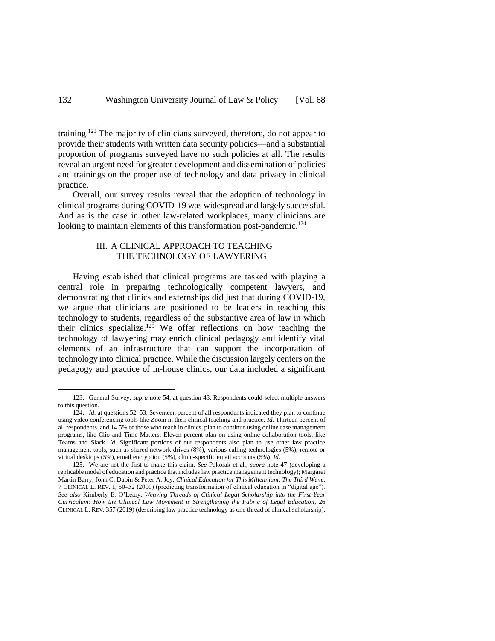training.<sup>123</sup> The majority of clinicians surveyed, therefore, do not appear to provide their students with written data security policies—and a substantial proportion of programs surveyed have no such policies at all. The results reveal an urgent need for greater development and dissemination of policies and trainings on the proper use of technology and data privacy in clinical practice.

Overall, our survey results reveal that the adoption of technology in clinical programs during COVID-19 was widespread and largely successful. And as is the case in other law-related workplaces, many clinicians are looking to maintain elements of this transformation post-pandemic.<sup>124</sup>

# III. A CLINICAL APPROACH TO TEACHING THE TECHNOLOGY OF LAWYERING

Having established that clinical programs are tasked with playing a central role in preparing technologically competent lawyers, and demonstrating that clinics and externships did just that during COVID-19, we argue that clinicians are positioned to be leaders in teaching this technology to students, regardless of the substantive area of law in which their clinics specialize. <sup>125</sup> We offer reflections on how teaching the technology of lawyering may enrich clinical pedagogy and identify vital elements of an infrastructure that can support the incorporation of technology into clinical practice. While the discussion largely centers on the pedagogy and practice of in-house clinics, our data included a significant

<sup>123.</sup> General Survey, *supra* not[e 54,](#page-13-0) at question 43. Respondents could select multiple answers to this question.

<sup>124.</sup> *Id.* at questions 52–53. Seventeen percent of all respondents indicated they plan to continue using video conferencing tools like Zoom in their clinical teaching and practice. *Id.* Thirteen percent of all respondents, and 14.5% of those who teach in clinics, plan to continue using online case management programs, like Clio and Time Matters. Eleven percent plan on using online collaboration tools, like Teams and Slack. *Id.* Significant portions of our respondents also plan to use other law practice management tools, such as shared network drives (8%), various calling technologies (5%), remote or virtual desktops (5%), email encryption (5%), clinic-specific email accounts (5%). *Id.*

<sup>125.</sup> We are not the first to make this claim. *See* Pokorak et al., *supra* note [47](#page-11-1) (developing a replicable model of education and practice that includes law practice management technology); Margaret Martin Barry, John C. Dubin & Peter A. Joy, *Clinical Education for This Millennium: The Third Wave*, 7 CLINICAL L. REV. 1, 50–52 (2000) (predicting transformation of clinical education in "digital age"). *See also* Kimberly E. O'Leary, *Weaving Threads of Clinical Legal Scholarship into the First-Year Curriculum: How the Clinical Law Movement is Strengthening the Fabric of Legal Education*, 26 CLINICAL L. REV. 357 (2019) (describing law practice technology as one thread of clinical scholarship).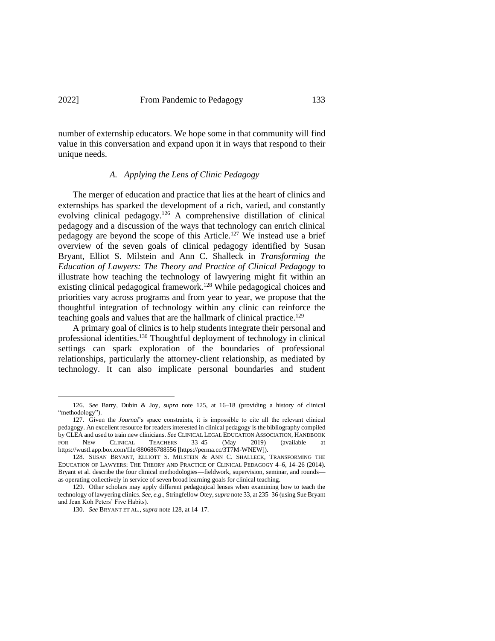number of externship educators. We hope some in that community will find value in this conversation and expand upon it in ways that respond to their unique needs.

# *A. Applying the Lens of Clinic Pedagogy*

The merger of education and practice that lies at the heart of clinics and externships has sparked the development of a rich, varied, and constantly evolving clinical pedagogy.<sup>126</sup> A comprehensive distillation of clinical pedagogy and a discussion of the ways that technology can enrich clinical pedagogy are beyond the scope of this Article.<sup>127</sup> We instead use a brief overview of the seven goals of clinical pedagogy identified by Susan Bryant, Elliot S. Milstein and Ann C. Shalleck in *Transforming the Education of Lawyers: The Theory and Practice of Clinical Pedagogy* to illustrate how teaching the technology of lawyering might fit within an existing clinical pedagogical framework.<sup>128</sup> While pedagogical choices and priorities vary across programs and from year to year, we propose that the thoughtful integration of technology within any clinic can reinforce the teaching goals and values that are the hallmark of clinical practice.<sup>129</sup>

A primary goal of clinics is to help students integrate their personal and professional identities. <sup>130</sup> Thoughtful deployment of technology in clinical settings can spark exploration of the boundaries of professional relationships, particularly the attorney-client relationship, as mediated by technology. It can also implicate personal boundaries and student

<sup>126.</sup> *See* Barry, Dubin & Joy, *supra* note 125, at 16–18 (providing a history of clinical "methodology").

<sup>127.</sup> Given the *Journal*'s space constraints, it is impossible to cite all the relevant clinical pedagogy. An excellent resource for readers interested in clinical pedagogy isthe bibliography compiled by CLEA and used to train new clinicians. *See* CLINICAL LEGAL EDUCATION ASSOCIATION, HANDBOOK FOR NEW CLINICAL TEACHERS 33-45 (May 2019) (available https://wustl.app.box.com/file/880686788556 [https://perma.cc/3T7M-WNEW]).

<sup>128.</sup> SUSAN BRYANT, ELLIOTT S. MILSTEIN & ANN C. SHALLECK, TRANSFORMING THE EDUCATION OF LAWYERS: THE THEORY AND PRACTICE OF CLINICAL PEDAGOGY 4–6, 14–26 (2014). Bryant et al. describe the four clinical methodologies—fieldwork, supervision, seminar, and rounds as operating collectively in service of seven broad learning goals for clinical teaching.

<sup>129.</sup> Other scholars may apply different pedagogical lenses when examining how to teach the technology of lawyering clinics. *See, e.g.*, Stringfellow Otey, *supra* not[e 33,](#page-8-0) at 235–36 (using Sue Bryant and Jean Koh Peters' Five Habits).

<sup>130.</sup> *See* BRYANT ET AL., *supra* note 128, at 14–17.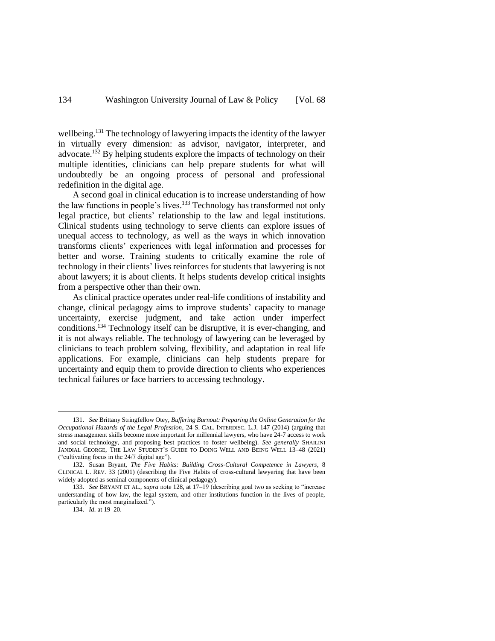wellbeing.<sup>131</sup> The technology of lawyering impacts the identity of the lawyer in virtually every dimension: as advisor, navigator, interpreter, and advocate.<sup>132</sup> By helping students explore the impacts of technology on their multiple identities, clinicians can help prepare students for what will undoubtedly be an ongoing process of personal and professional redefinition in the digital age.

A second goal in clinical education is to increase understanding of how the law functions in people's lives.<sup>133</sup> Technology has transformed not only legal practice, but clients' relationship to the law and legal institutions. Clinical students using technology to serve clients can explore issues of unequal access to technology, as well as the ways in which innovation transforms clients' experiences with legal information and processes for better and worse. Training students to critically examine the role of technology in their clients' lives reinforces for students that lawyering is not about lawyers; it is about clients. It helps students develop critical insights from a perspective other than their own.

As clinical practice operates under real-life conditions of instability and change, clinical pedagogy aims to improve students' capacity to manage uncertainty, exercise judgment, and take action under imperfect conditions. <sup>134</sup> Technology itself can be disruptive, it is ever-changing, and it is not always reliable. The technology of lawyering can be leveraged by clinicians to teach problem solving, flexibility, and adaptation in real life applications. For example, clinicians can help students prepare for uncertainty and equip them to provide direction to clients who experiences technical failures or face barriers to accessing technology.

<sup>131.</sup> *See* Brittany Stringfellow Otey, *Buffering Burnout: Preparing the Online Generation for the Occupational Hazards of the Legal Profession*, 24 S. CAL. INTERDISC. L.J. 147 (2014) (arguing that stress management skills become more important for millennial lawyers, who have 24-7 access to work and social technology, and proposing best practices to foster wellbeing). *See generally* SHAILINI JANDIAL GEORGE, THE LAW STUDENT'S GUIDE TO DOING WELL AND BEING WELL 13–48 (2021) ("cultivating focus in the 24/7 digital age").

<sup>132.</sup> Susan Bryant, *The Five Habits: Building Cross-Cultural Competence in Lawyers*, 8 CLINICAL L. REV. 33 (2001) (describing the Five Habits of cross-cultural lawyering that have been widely adopted as seminal components of clinical pedagogy).

<sup>133.</sup> *See* BRYANT ET AL., *supra* note 128, at 17–19 (describing goal two as seeking to "increase understanding of how law, the legal system, and other institutions function in the lives of people, particularly the most marginalized.").

<sup>134.</sup> *Id.* at 19–20.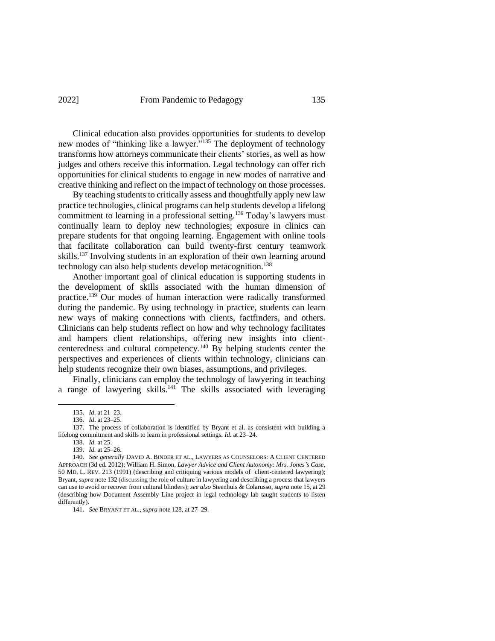Clinical education also provides opportunities for students to develop new modes of "thinking like a lawyer."<sup>135</sup> The deployment of technology transforms how attorneys communicate their clients' stories, as well as how judges and others receive this information. Legal technology can offer rich opportunities for clinical students to engage in new modes of narrative and creative thinking and reflect on the impact of technology on those processes.

By teaching students to critically assess and thoughtfully apply new law practice technologies, clinical programs can help students develop a lifelong commitment to learning in a professional setting.<sup>136</sup> Today's lawyers must continually learn to deploy new technologies; exposure in clinics can prepare students for that ongoing learning. Engagement with online tools that facilitate collaboration can build twenty-first century teamwork skills. <sup>137</sup> Involving students in an exploration of their own learning around technology can also help students develop metacognition.<sup>138</sup>

Another important goal of clinical education is supporting students in the development of skills associated with the human dimension of practice. <sup>139</sup> Our modes of human interaction were radically transformed during the pandemic. By using technology in practice, students can learn new ways of making connections with clients, factfinders, and others. Clinicians can help students reflect on how and why technology facilitates and hampers client relationships, offering new insights into clientcenteredness and cultural competency. <sup>140</sup> By helping students center the perspectives and experiences of clients within technology, clinicians can help students recognize their own biases, assumptions, and privileges.

Finally, clinicians can employ the technology of lawyering in teaching a range of lawyering skills.<sup>141</sup> The skills associated with leveraging

<sup>135.</sup> *Id.* at 21–23.

<sup>136.</sup> *Id*. at 23–25.

<sup>137.</sup> The process of collaboration is identified by Bryant et al. as consistent with building a lifelong commitment and skills to learn in professional settings*. Id.* at 23–24.

<sup>138.</sup> *Id.* at 25.

<sup>139.</sup> *Id.* at 25–26.

<sup>140.</sup> *See generally* DAVID A. BINDER ET AL., LAWYERS AS COUNSELORS: A CLIENT CENTERED APPROACH (3d ed. 2012); William H. Simon, *Lawyer Advice and Client Autonomy: Mrs. Jones's Case*, 50 MD. L. REV. 213 (1991) (describing and critiquing various models of client-centered lawyering); Bryant, *supra* note 132 (discussing the role of culture in lawyering and describing a process that lawyers can use to avoid or recover from cultural blinders); *see also* Steenhuis & Colarusso, *supra* note 15, at 29 (describing how Document Assembly Line project in legal technology lab taught students to listen differently).

<sup>141.</sup> *See* BRYANT ET AL., *supra* note 128, at 27–29.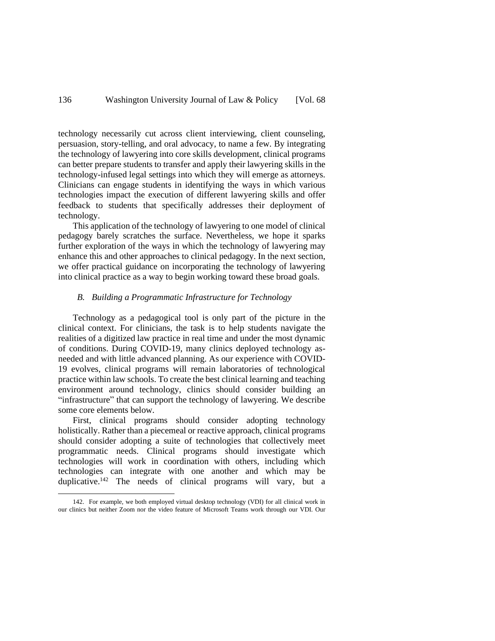technology necessarily cut across client interviewing, client counseling, persuasion, story-telling, and oral advocacy, to name a few. By integrating the technology of lawyering into core skills development, clinical programs can better prepare students to transfer and apply their lawyering skills in the technology-infused legal settings into which they will emerge as attorneys. Clinicians can engage students in identifying the ways in which various technologies impact the execution of different lawyering skills and offer feedback to students that specifically addresses their deployment of technology.

This application of the technology of lawyering to one model of clinical pedagogy barely scratches the surface. Nevertheless, we hope it sparks further exploration of the ways in which the technology of lawyering may enhance this and other approaches to clinical pedagogy. In the next section, we offer practical guidance on incorporating the technology of lawyering into clinical practice as a way to begin working toward these broad goals.

### *B. Building a Programmatic Infrastructure for Technology*

Technology as a pedagogical tool is only part of the picture in the clinical context. For clinicians, the task is to help students navigate the realities of a digitized law practice in real time and under the most dynamic of conditions. During COVID-19, many clinics deployed technology asneeded and with little advanced planning. As our experience with COVID-19 evolves, clinical programs will remain laboratories of technological practice within law schools. To create the best clinical learning and teaching environment around technology, clinics should consider building an "infrastructure" that can support the technology of lawyering. We describe some core elements below.

First, clinical programs should consider adopting technology holistically. Rather than a piecemeal or reactive approach, clinical programs should consider adopting a suite of technologies that collectively meet programmatic needs. Clinical programs should investigate which technologies will work in coordination with others, including which technologies can integrate with one another and which may be duplicative.<sup>142</sup> The needs of clinical programs will vary, but a

<sup>142.</sup> For example, we both employed virtual desktop technology (VDI) for all clinical work in our clinics but neither Zoom nor the video feature of Microsoft Teams work through our VDI. Our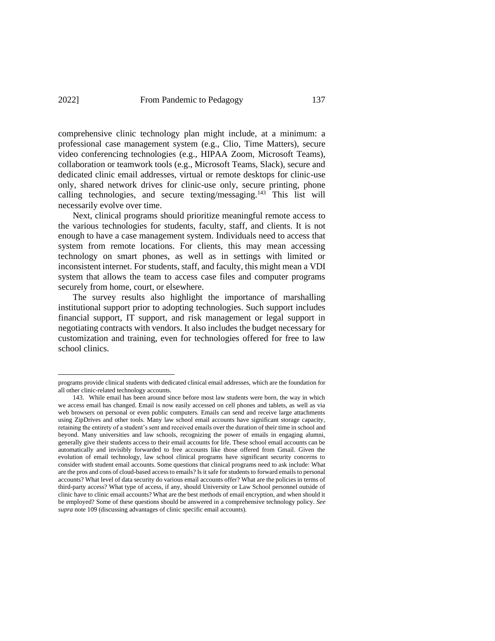comprehensive clinic technology plan might include, at a minimum: a professional case management system (e.g., Clio, Time Matters), secure video conferencing technologies (e.g., HIPAA Zoom, Microsoft Teams), collaboration or teamwork tools (e.g., Microsoft Teams, Slack), secure and dedicated clinic email addresses, virtual or remote desktops for clinic-use only, shared network drives for clinic-use only, secure printing, phone calling technologies, and secure texting/messaging.<sup>143</sup> This list will necessarily evolve over time.

Next, clinical programs should prioritize meaningful remote access to the various technologies for students, faculty, staff, and clients. It is not enough to have a case management system. Individuals need to access that system from remote locations. For clients, this may mean accessing technology on smart phones, as well as in settings with limited or inconsistent internet. For students, staff, and faculty, this might mean a VDI system that allows the team to access case files and computer programs securely from home, court, or elsewhere.

The survey results also highlight the importance of marshalling institutional support prior to adopting technologies. Such support includes financial support, IT support, and risk management or legal support in negotiating contracts with vendors. It also includes the budget necessary for customization and training, even for technologies offered for free to law school clinics.

programs provide clinical students with dedicated clinical email addresses, which are the foundation for all other clinic-related technology accounts.

<sup>143.</sup> While email has been around since before most law students were born, the way in which we access email has changed. Email is now easily accessed on cell phones and tablets, as well as via web browsers on personal or even public computers. Emails can send and receive large attachments using ZipDrives and other tools. Many law school email accounts have significant storage capacity, retaining the entirety of a student's sent and received emails over the duration of their time in school and beyond. Many universities and law schools, recognizing the power of emails in engaging alumni, generally give their students access to their email accounts for life. These school email accounts can be automatically and invisibly forwarded to free accounts like those offered from Gmail. Given the evolution of email technology, law school clinical programs have significant security concerns to consider with student email accounts. Some questions that clinical programs need to ask include: What are the pros and cons of cloud-based access to emails? Is it safe for students to forward emails to personal accounts? What level of data security do various email accounts offer? What are the policies in terms of third-party access? What type of access, if any, should University or Law School personnel outside of clinic have to clinic email accounts? What are the best methods of email encryption, and when should it be employed? Some of these questions should be answered in a comprehensive technology policy. *See supra* note 109 (discussing advantages of clinic specific email accounts).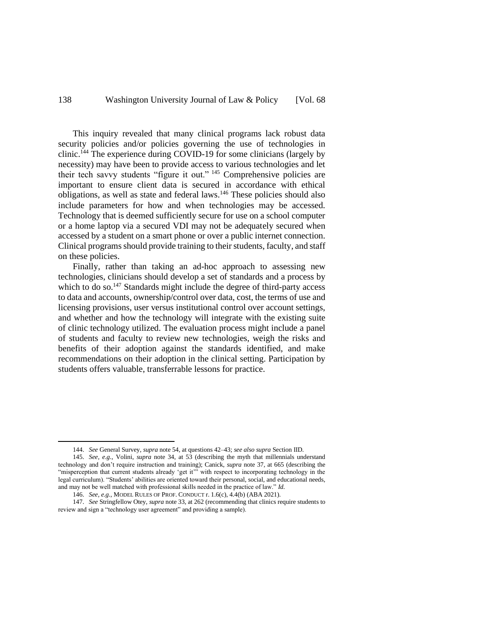This inquiry revealed that many clinical programs lack robust data security policies and/or policies governing the use of technologies in clinic. <sup>144</sup> The experience during COVID-19 for some clinicians (largely by necessity) may have been to provide access to various technologies and let their tech savvy students "figure it out." <sup>145</sup> Comprehensive policies are important to ensure client data is secured in accordance with ethical obligations, as well as state and federal laws.<sup>146</sup> These policies should also include parameters for how and when technologies may be accessed. Technology that is deemed sufficiently secure for use on a school computer or a home laptop via a secured VDI may not be adequately secured when accessed by a student on a smart phone or over a public internet connection. Clinical programs should provide training to their students, faculty, and staff on these policies.

Finally, rather than taking an ad-hoc approach to assessing new technologies, clinicians should develop a set of standards and a process by which to do so.<sup>147</sup> Standards might include the degree of third-party access to data and accounts, ownership/control over data, cost, the terms of use and licensing provisions, user versus institutional control over account settings, and whether and how the technology will integrate with the existing suite of clinic technology utilized. The evaluation process might include a panel of students and faculty to review new technologies, weigh the risks and benefits of their adoption against the standards identified, and make recommendations on their adoption in the clinical setting. Participation by students offers valuable, transferrable lessons for practice.

<sup>144.</sup> *See* General Survey, *supra* not[e 54,](#page-13-0) at questions 42–43; *see also supra* Section IID.

<sup>145.</sup> *See, e.g.*, Volini, *supra* note 34, at 53 (describing the myth that millennials understand technology and don't require instruction and training); Canick, *supra* note [37,](#page-9-0) at 665 (describing the "misperception that current students already 'get it" with respect to incorporating technology in the legal curriculum). "Students' abilities are oriented toward their personal, social, and educational needs, and may not be well matched with professional skills needed in the practice of law." *Id.*

<sup>146.</sup> *See, e.g.*, MODEL RULES OF PROF. CONDUCT r. 1.6(c), 4.4(b) (ABA 2021).

<sup>147.</sup> *See* Stringfellow Otey, *supra* not[e 33,](#page-8-0) at 262 (recommending that clinics require students to review and sign a "technology user agreement" and providing a sample).